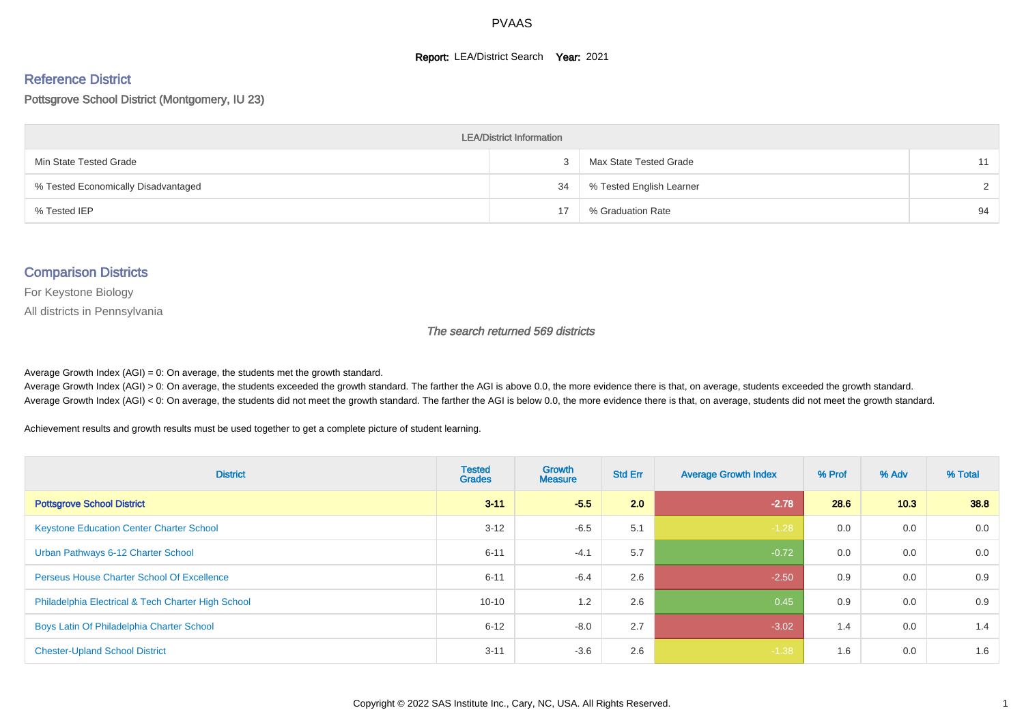#### **Report: LEA/District Search Year: 2021**

#### Reference District

#### Pottsgrove School District (Montgomery, IU 23)

| <b>LEA/District Information</b>     |    |                          |        |  |  |  |  |  |  |  |
|-------------------------------------|----|--------------------------|--------|--|--|--|--|--|--|--|
| Min State Tested Grade              |    | Max State Tested Grade   | 11     |  |  |  |  |  |  |  |
| % Tested Economically Disadvantaged | 34 | % Tested English Learner | $\sim$ |  |  |  |  |  |  |  |
| % Tested IEP                        | 17 | % Graduation Rate        | 94     |  |  |  |  |  |  |  |

#### Comparison Districts

For Keystone Biology

All districts in Pennsylvania

The search returned 569 districts

Average Growth Index  $(AGI) = 0$ : On average, the students met the growth standard.

Average Growth Index (AGI) > 0: On average, the students exceeded the growth standard. The farther the AGI is above 0.0, the more evidence there is that, on average, students exceeded the growth standard. Average Growth Index (AGI) < 0: On average, the students did not meet the growth standard. The farther the AGI is below 0.0, the more evidence there is that, on average, students did not meet the growth standard.

Achievement results and growth results must be used together to get a complete picture of student learning.

| <b>District</b>                                    | <b>Tested</b><br><b>Grades</b> | <b>Growth</b><br><b>Measure</b> | <b>Std Err</b> | <b>Average Growth Index</b> | % Prof | % Adv | % Total |
|----------------------------------------------------|--------------------------------|---------------------------------|----------------|-----------------------------|--------|-------|---------|
| <b>Pottsgrove School District</b>                  | $3 - 11$                       | $-5.5$                          | 2.0            | $-2.78$                     | 28.6   | 10.3  | 38.8    |
| <b>Keystone Education Center Charter School</b>    | $3 - 12$                       | $-6.5$                          | 5.1            | $-1.28$                     | 0.0    | 0.0   | 0.0     |
| Urban Pathways 6-12 Charter School                 | $6 - 11$                       | $-4.1$                          | 5.7            | $-0.72$                     | 0.0    | 0.0   | 0.0     |
| <b>Perseus House Charter School Of Excellence</b>  | $6 - 11$                       | $-6.4$                          | 2.6            | $-2.50$                     | 0.9    | 0.0   | 0.9     |
| Philadelphia Electrical & Tech Charter High School | $10 - 10$                      | 1.2                             | 2.6            | 0.45                        | 0.9    | 0.0   | 0.9     |
| Boys Latin Of Philadelphia Charter School          | $6 - 12$                       | $-8.0$                          | 2.7            | $-3.02$                     | 1.4    | 0.0   | 1.4     |
| <b>Chester-Upland School District</b>              | $3 - 11$                       | $-3.6$                          | 2.6            | $-1.38$                     | 1.6    | 0.0   | 1.6     |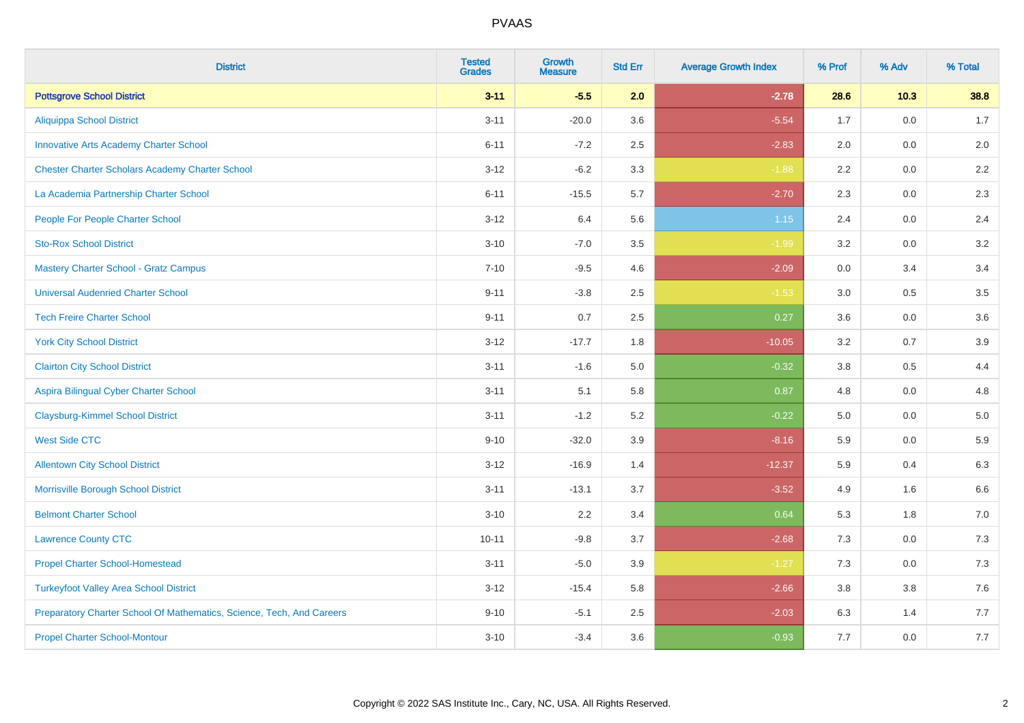| <b>District</b>                                                       | <b>Tested</b><br><b>Grades</b> | <b>Growth</b><br><b>Measure</b> | <b>Std Err</b> | <b>Average Growth Index</b> | % Prof | % Adv   | % Total |
|-----------------------------------------------------------------------|--------------------------------|---------------------------------|----------------|-----------------------------|--------|---------|---------|
| <b>Pottsgrove School District</b>                                     | $3 - 11$                       | $-5.5$                          | 2.0            | $-2.78$                     | 28.6   | $10.3$  | 38.8    |
| <b>Aliquippa School District</b>                                      | $3 - 11$                       | $-20.0$                         | 3.6            | $-5.54$                     | 1.7    | 0.0     | 1.7     |
| <b>Innovative Arts Academy Charter School</b>                         | $6 - 11$                       | $-7.2$                          | 2.5            | $-2.83$                     | 2.0    | 0.0     | 2.0     |
| <b>Chester Charter Scholars Academy Charter School</b>                | $3 - 12$                       | $-6.2$                          | 3.3            | $-1.88$                     | 2.2    | $0.0\,$ | $2.2\,$ |
| La Academia Partnership Charter School                                | $6 - 11$                       | $-15.5$                         | 5.7            | $-2.70$                     | 2.3    | 0.0     | 2.3     |
| People For People Charter School                                      | $3 - 12$                       | 6.4                             | 5.6            | $1.15$                      | 2.4    | 0.0     | 2.4     |
| <b>Sto-Rox School District</b>                                        | $3 - 10$                       | $-7.0$                          | 3.5            | $-1.99$                     | 3.2    | $0.0\,$ | 3.2     |
| <b>Mastery Charter School - Gratz Campus</b>                          | $7 - 10$                       | $-9.5$                          | 4.6            | $-2.09$                     | 0.0    | 3.4     | 3.4     |
| <b>Universal Audenried Charter School</b>                             | $9 - 11$                       | $-3.8$                          | 2.5            | $-1.53$                     | 3.0    | 0.5     | 3.5     |
| <b>Tech Freire Charter School</b>                                     | $9 - 11$                       | 0.7                             | $2.5\,$        | 0.27                        | 3.6    | 0.0     | 3.6     |
| <b>York City School District</b>                                      | $3 - 12$                       | $-17.7$                         | 1.8            | $-10.05$                    | 3.2    | 0.7     | 3.9     |
| <b>Clairton City School District</b>                                  | $3 - 11$                       | $-1.6$                          | 5.0            | $-0.32$                     | 3.8    | 0.5     | 4.4     |
| Aspira Bilingual Cyber Charter School                                 | $3 - 11$                       | 5.1                             | 5.8            | 0.87                        | 4.8    | 0.0     | 4.8     |
| <b>Claysburg-Kimmel School District</b>                               | $3 - 11$                       | $-1.2$                          | 5.2            | $-0.22$                     | 5.0    | 0.0     | $5.0$   |
| <b>West Side CTC</b>                                                  | $9 - 10$                       | $-32.0$                         | 3.9            | $-8.16$                     | 5.9    | 0.0     | 5.9     |
| <b>Allentown City School District</b>                                 | $3 - 12$                       | $-16.9$                         | 1.4            | $-12.37$                    | 5.9    | 0.4     | 6.3     |
| Morrisville Borough School District                                   | $3 - 11$                       | $-13.1$                         | 3.7            | $-3.52$                     | 4.9    | 1.6     | 6.6     |
| <b>Belmont Charter School</b>                                         | $3 - 10$                       | 2.2                             | 3.4            | 0.64                        | 5.3    | 1.8     | 7.0     |
| <b>Lawrence County CTC</b>                                            | $10 - 11$                      | $-9.8$                          | 3.7            | $-2.68$                     | 7.3    | 0.0     | 7.3     |
| <b>Propel Charter School-Homestead</b>                                | $3 - 11$                       | $-5.0$                          | 3.9            | $-1.27$                     | 7.3    | 0.0     | $7.3$   |
| <b>Turkeyfoot Valley Area School District</b>                         | $3 - 12$                       | $-15.4$                         | 5.8            | $-2.66$                     | 3.8    | 3.8     | $7.6$   |
| Preparatory Charter School Of Mathematics, Science, Tech, And Careers | $9 - 10$                       | $-5.1$                          | 2.5            | $-2.03$                     | 6.3    | 1.4     | 7.7     |
| <b>Propel Charter School-Montour</b>                                  | $3 - 10$                       | $-3.4$                          | 3.6            | $-0.93$                     | 7.7    | 0.0     | 7.7     |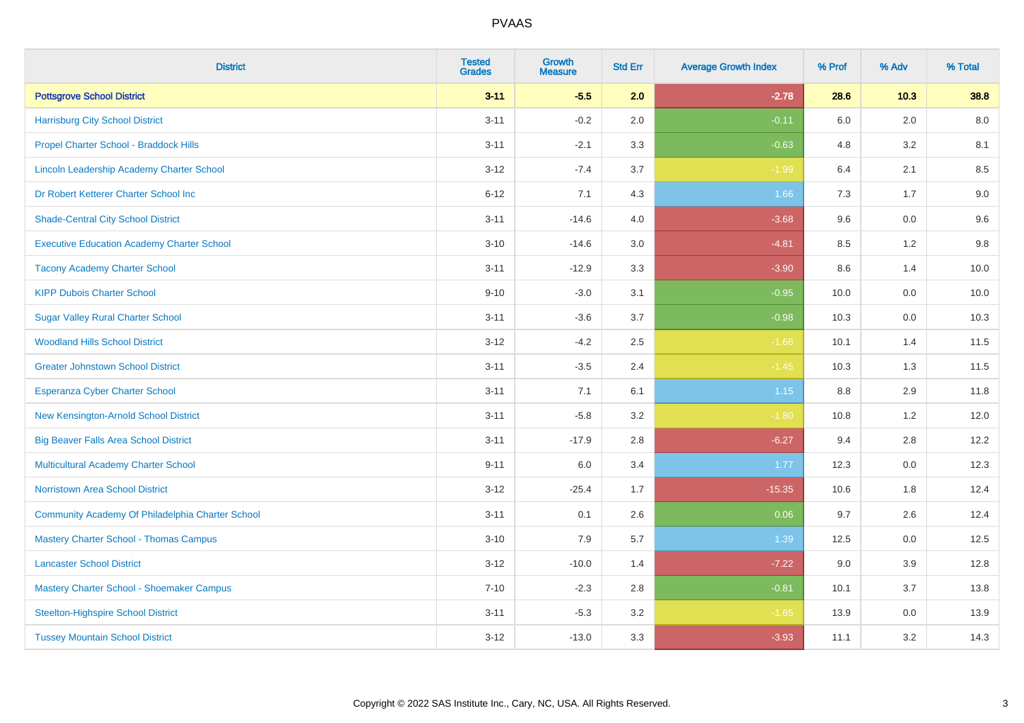| <b>District</b>                                   | <b>Tested</b><br><b>Grades</b> | <b>Growth</b><br><b>Measure</b> | <b>Std Err</b> | <b>Average Growth Index</b> | % Prof | % Adv   | % Total |
|---------------------------------------------------|--------------------------------|---------------------------------|----------------|-----------------------------|--------|---------|---------|
| <b>Pottsgrove School District</b>                 | $3 - 11$                       | $-5.5$                          | 2.0            | $-2.78$                     | 28.6   | 10.3    | 38.8    |
| <b>Harrisburg City School District</b>            | $3 - 11$                       | $-0.2$                          | 2.0            | $-0.11$                     | 6.0    | 2.0     | 8.0     |
| Propel Charter School - Braddock Hills            | $3 - 11$                       | $-2.1$                          | 3.3            | $-0.63$                     | 4.8    | 3.2     | 8.1     |
| Lincoln Leadership Academy Charter School         | $3 - 12$                       | $-7.4$                          | 3.7            | $-1.99$                     | 6.4    | 2.1     | 8.5     |
| Dr Robert Ketterer Charter School Inc             | $6 - 12$                       | 7.1                             | 4.3            | 1.66                        | 7.3    | 1.7     | 9.0     |
| <b>Shade-Central City School District</b>         | $3 - 11$                       | $-14.6$                         | 4.0            | $-3.68$                     | 9.6    | 0.0     | 9.6     |
| <b>Executive Education Academy Charter School</b> | $3 - 10$                       | $-14.6$                         | 3.0            | $-4.81$                     | 8.5    | 1.2     | 9.8     |
| <b>Tacony Academy Charter School</b>              | $3 - 11$                       | $-12.9$                         | 3.3            | $-3.90$                     | 8.6    | 1.4     | 10.0    |
| <b>KIPP Dubois Charter School</b>                 | $9 - 10$                       | $-3.0$                          | 3.1            | $-0.95$                     | 10.0   | 0.0     | 10.0    |
| <b>Sugar Valley Rural Charter School</b>          | $3 - 11$                       | $-3.6$                          | 3.7            | $-0.98$                     | 10.3   | 0.0     | 10.3    |
| <b>Woodland Hills School District</b>             | $3 - 12$                       | $-4.2$                          | 2.5            | $-1.66$                     | 10.1   | 1.4     | 11.5    |
| <b>Greater Johnstown School District</b>          | $3 - 11$                       | $-3.5$                          | 2.4            | $-1.45$                     | 10.3   | 1.3     | 11.5    |
| Esperanza Cyber Charter School                    | $3 - 11$                       | 7.1                             | 6.1            | $1.15$                      | 8.8    | 2.9     | 11.8    |
| New Kensington-Arnold School District             | $3 - 11$                       | $-5.8$                          | 3.2            | $-1.80$                     | 10.8   | 1.2     | 12.0    |
| <b>Big Beaver Falls Area School District</b>      | $3 - 11$                       | $-17.9$                         | 2.8            | $-6.27$                     | 9.4    | 2.8     | 12.2    |
| <b>Multicultural Academy Charter School</b>       | $9 - 11$                       | 6.0                             | 3.4            | 1.77                        | 12.3   | $0.0\,$ | 12.3    |
| Norristown Area School District                   | $3 - 12$                       | $-25.4$                         | 1.7            | $-15.35$                    | 10.6   | 1.8     | 12.4    |
| Community Academy Of Philadelphia Charter School  | $3 - 11$                       | 0.1                             | 2.6            | 0.06                        | 9.7    | 2.6     | 12.4    |
| <b>Mastery Charter School - Thomas Campus</b>     | $3 - 10$                       | 7.9                             | 5.7            | 1.39                        | 12.5   | 0.0     | 12.5    |
| <b>Lancaster School District</b>                  | $3 - 12$                       | $-10.0$                         | 1.4            | $-7.22$                     | 9.0    | 3.9     | 12.8    |
| Mastery Charter School - Shoemaker Campus         | $7 - 10$                       | $-2.3$                          | 2.8            | $-0.81$                     | 10.1   | 3.7     | 13.8    |
| <b>Steelton-Highspire School District</b>         | $3 - 11$                       | $-5.3$                          | 3.2            | $-1.65$                     | 13.9   | $0.0\,$ | 13.9    |
| <b>Tussey Mountain School District</b>            | $3 - 12$                       | $-13.0$                         | 3.3            | $-3.93$                     | 11.1   | 3.2     | 14.3    |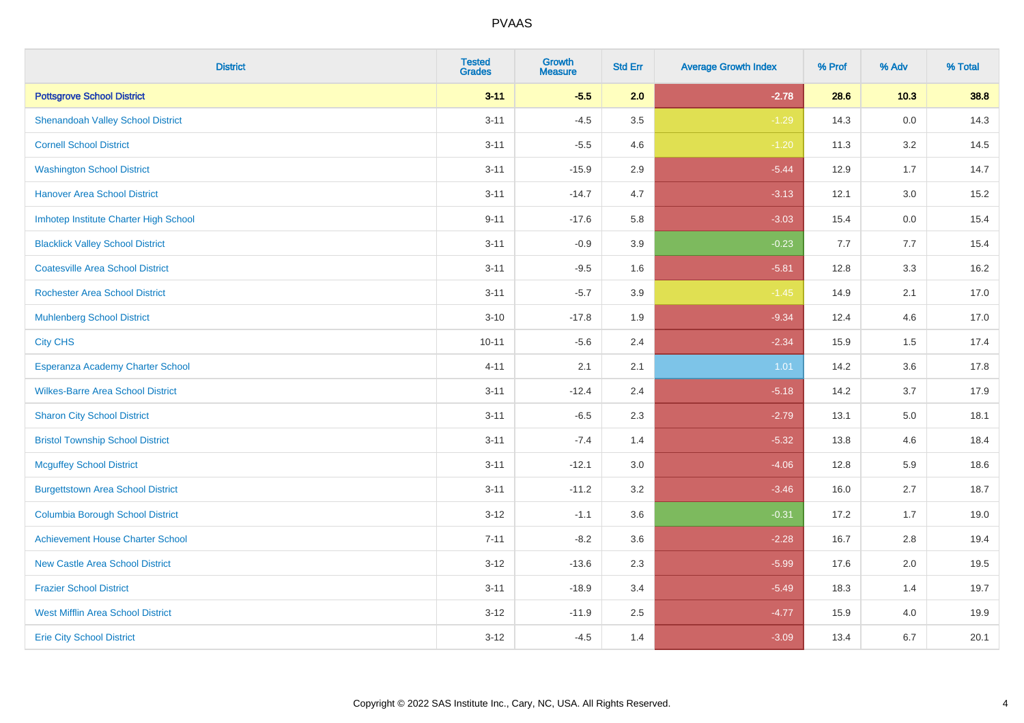| <b>District</b>                          | <b>Tested</b><br><b>Grades</b> | <b>Growth</b><br><b>Measure</b> | <b>Std Err</b> | <b>Average Growth Index</b> | % Prof | % Adv  | % Total |
|------------------------------------------|--------------------------------|---------------------------------|----------------|-----------------------------|--------|--------|---------|
| <b>Pottsgrove School District</b>        | $3 - 11$                       | $-5.5$                          | 2.0            | $-2.78$                     | 28.6   | $10.3$ | 38.8    |
| <b>Shenandoah Valley School District</b> | $3 - 11$                       | $-4.5$                          | 3.5            | $-1.29$                     | 14.3   | 0.0    | 14.3    |
| <b>Cornell School District</b>           | $3 - 11$                       | $-5.5$                          | 4.6            | $-1.20$                     | 11.3   | 3.2    | 14.5    |
| <b>Washington School District</b>        | $3 - 11$                       | $-15.9$                         | 2.9            | $-5.44$                     | 12.9   | 1.7    | 14.7    |
| <b>Hanover Area School District</b>      | $3 - 11$                       | $-14.7$                         | 4.7            | $-3.13$                     | 12.1   | 3.0    | 15.2    |
| Imhotep Institute Charter High School    | $9 - 11$                       | $-17.6$                         | 5.8            | $-3.03$                     | 15.4   | 0.0    | 15.4    |
| <b>Blacklick Valley School District</b>  | $3 - 11$                       | $-0.9$                          | 3.9            | $-0.23$                     | 7.7    | 7.7    | 15.4    |
| <b>Coatesville Area School District</b>  | $3 - 11$                       | $-9.5$                          | 1.6            | $-5.81$                     | 12.8   | 3.3    | 16.2    |
| <b>Rochester Area School District</b>    | $3 - 11$                       | $-5.7$                          | 3.9            | $-1.45$                     | 14.9   | 2.1    | 17.0    |
| <b>Muhlenberg School District</b>        | $3 - 10$                       | $-17.8$                         | 1.9            | $-9.34$                     | 12.4   | 4.6    | 17.0    |
| <b>City CHS</b>                          | $10 - 11$                      | $-5.6$                          | 2.4            | $-2.34$                     | 15.9   | 1.5    | 17.4    |
| Esperanza Academy Charter School         | $4 - 11$                       | 2.1                             | 2.1            | 1.01                        | 14.2   | 3.6    | 17.8    |
| <b>Wilkes-Barre Area School District</b> | $3 - 11$                       | $-12.4$                         | 2.4            | $-5.18$                     | 14.2   | 3.7    | 17.9    |
| <b>Sharon City School District</b>       | $3 - 11$                       | $-6.5$                          | 2.3            | $-2.79$                     | 13.1   | 5.0    | 18.1    |
| <b>Bristol Township School District</b>  | $3 - 11$                       | $-7.4$                          | 1.4            | $-5.32$                     | 13.8   | 4.6    | 18.4    |
| <b>Mcguffey School District</b>          | $3 - 11$                       | $-12.1$                         | 3.0            | $-4.06$                     | 12.8   | 5.9    | 18.6    |
| <b>Burgettstown Area School District</b> | $3 - 11$                       | $-11.2$                         | 3.2            | $-3.46$                     | 16.0   | 2.7    | 18.7    |
| <b>Columbia Borough School District</b>  | $3 - 12$                       | $-1.1$                          | 3.6            | $-0.31$                     | 17.2   | 1.7    | 19.0    |
| <b>Achievement House Charter School</b>  | $7 - 11$                       | $-8.2$                          | 3.6            | $-2.28$                     | 16.7   | 2.8    | 19.4    |
| <b>New Castle Area School District</b>   | $3 - 12$                       | $-13.6$                         | 2.3            | $-5.99$                     | 17.6   | 2.0    | 19.5    |
| <b>Frazier School District</b>           | $3 - 11$                       | $-18.9$                         | 3.4            | $-5.49$                     | 18.3   | 1.4    | 19.7    |
| <b>West Mifflin Area School District</b> | $3 - 12$                       | $-11.9$                         | 2.5            | $-4.77$                     | 15.9   | 4.0    | 19.9    |
| <b>Erie City School District</b>         | $3 - 12$                       | $-4.5$                          | 1.4            | $-3.09$                     | 13.4   | 6.7    | 20.1    |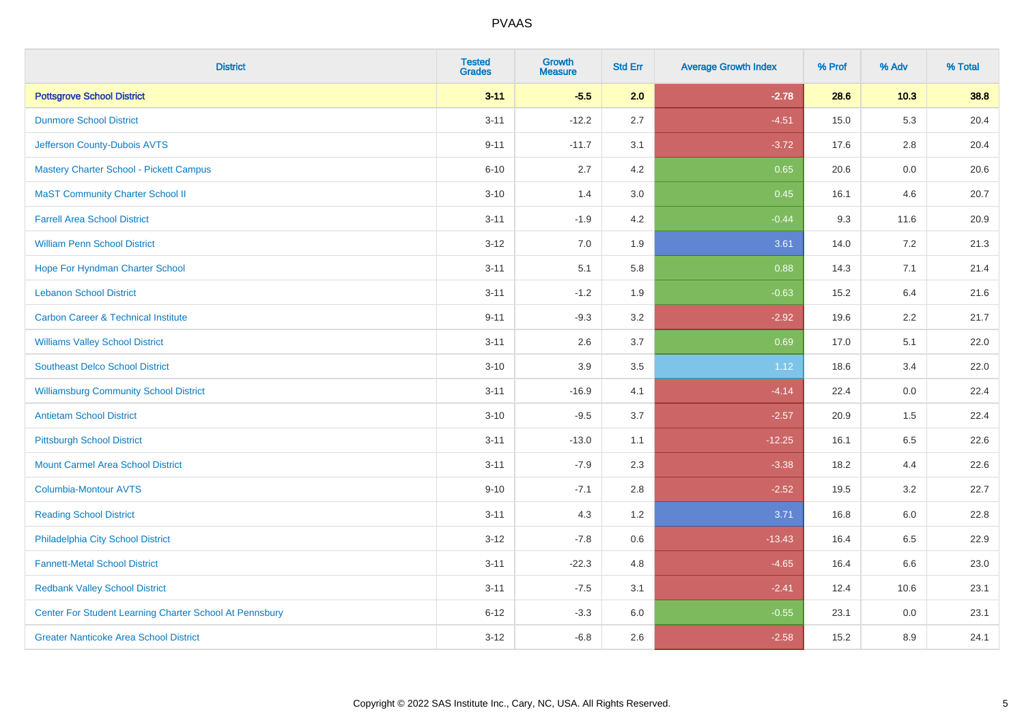| <b>District</b>                                         | <b>Tested</b><br><b>Grades</b> | <b>Growth</b><br><b>Measure</b> | <b>Std Err</b> | <b>Average Growth Index</b> | % Prof | % Adv   | % Total |
|---------------------------------------------------------|--------------------------------|---------------------------------|----------------|-----------------------------|--------|---------|---------|
| <b>Pottsgrove School District</b>                       | $3 - 11$                       | $-5.5$                          | 2.0            | $-2.78$                     | 28.6   | $10.3$  | 38.8    |
| <b>Dunmore School District</b>                          | $3 - 11$                       | $-12.2$                         | 2.7            | $-4.51$                     | 15.0   | 5.3     | 20.4    |
| Jefferson County-Dubois AVTS                            | $9 - 11$                       | $-11.7$                         | 3.1            | $-3.72$                     | 17.6   | 2.8     | 20.4    |
| Mastery Charter School - Pickett Campus                 | $6 - 10$                       | 2.7                             | 4.2            | 0.65                        | 20.6   | $0.0\,$ | 20.6    |
| <b>MaST Community Charter School II</b>                 | $3 - 10$                       | 1.4                             | 3.0            | 0.45                        | 16.1   | 4.6     | 20.7    |
| <b>Farrell Area School District</b>                     | $3 - 11$                       | $-1.9$                          | 4.2            | $-0.44$                     | 9.3    | 11.6    | 20.9    |
| <b>William Penn School District</b>                     | $3 - 12$                       | 7.0                             | 1.9            | 3.61                        | 14.0   | 7.2     | 21.3    |
| Hope For Hyndman Charter School                         | $3 - 11$                       | 5.1                             | 5.8            | 0.88                        | 14.3   | 7.1     | 21.4    |
| <b>Lebanon School District</b>                          | $3 - 11$                       | $-1.2$                          | 1.9            | $-0.63$                     | 15.2   | 6.4     | 21.6    |
| <b>Carbon Career &amp; Technical Institute</b>          | $9 - 11$                       | $-9.3$                          | 3.2            | $-2.92$                     | 19.6   | 2.2     | 21.7    |
| <b>Williams Valley School District</b>                  | $3 - 11$                       | 2.6                             | 3.7            | 0.69                        | 17.0   | 5.1     | 22.0    |
| <b>Southeast Delco School District</b>                  | $3 - 10$                       | 3.9                             | 3.5            | 1.12                        | 18.6   | 3.4     | 22.0    |
| <b>Williamsburg Community School District</b>           | $3 - 11$                       | $-16.9$                         | 4.1            | $-4.14$                     | 22.4   | 0.0     | 22.4    |
| <b>Antietam School District</b>                         | $3 - 10$                       | $-9.5$                          | 3.7            | $-2.57$                     | 20.9   | 1.5     | 22.4    |
| <b>Pittsburgh School District</b>                       | $3 - 11$                       | $-13.0$                         | 1.1            | $-12.25$                    | 16.1   | 6.5     | 22.6    |
| <b>Mount Carmel Area School District</b>                | $3 - 11$                       | $-7.9$                          | 2.3            | $-3.38$                     | 18.2   | 4.4     | 22.6    |
| <b>Columbia-Montour AVTS</b>                            | $9 - 10$                       | $-7.1$                          | 2.8            | $-2.52$                     | 19.5   | 3.2     | 22.7    |
| <b>Reading School District</b>                          | $3 - 11$                       | 4.3                             | 1.2            | 3.71                        | 16.8   | 6.0     | 22.8    |
| Philadelphia City School District                       | $3 - 12$                       | $-7.8$                          | 0.6            | $-13.43$                    | 16.4   | 6.5     | 22.9    |
| <b>Fannett-Metal School District</b>                    | $3 - 11$                       | $-22.3$                         | 4.8            | $-4.65$                     | 16.4   | 6.6     | 23.0    |
| <b>Redbank Valley School District</b>                   | $3 - 11$                       | $-7.5$                          | 3.1            | $-2.41$                     | 12.4   | 10.6    | 23.1    |
| Center For Student Learning Charter School At Pennsbury | $6 - 12$                       | $-3.3$                          | 6.0            | $-0.55$                     | 23.1   | 0.0     | 23.1    |
| <b>Greater Nanticoke Area School District</b>           | $3 - 12$                       | $-6.8$                          | 2.6            | $-2.58$                     | 15.2   | 8.9     | 24.1    |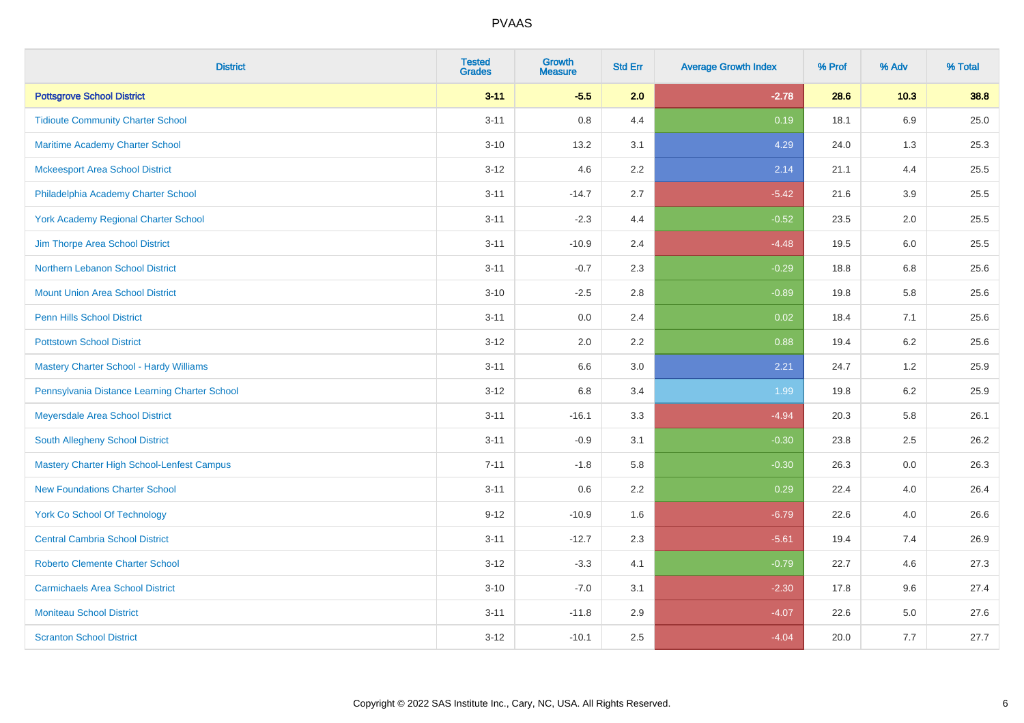| <b>District</b>                                | <b>Tested</b><br><b>Grades</b> | <b>Growth</b><br><b>Measure</b> | <b>Std Err</b> | <b>Average Growth Index</b> | % Prof | % Adv   | % Total |
|------------------------------------------------|--------------------------------|---------------------------------|----------------|-----------------------------|--------|---------|---------|
| <b>Pottsgrove School District</b>              | $3 - 11$                       | $-5.5$                          | 2.0            | $-2.78$                     | 28.6   | $10.3$  | 38.8    |
| <b>Tidioute Community Charter School</b>       | $3 - 11$                       | 0.8                             | 4.4            | 0.19                        | 18.1   | 6.9     | 25.0    |
| Maritime Academy Charter School                | $3 - 10$                       | 13.2                            | 3.1            | 4.29                        | 24.0   | 1.3     | 25.3    |
| <b>Mckeesport Area School District</b>         | $3 - 12$                       | 4.6                             | 2.2            | 2.14                        | 21.1   | 4.4     | 25.5    |
| Philadelphia Academy Charter School            | $3 - 11$                       | $-14.7$                         | 2.7            | $-5.42$                     | 21.6   | 3.9     | 25.5    |
| <b>York Academy Regional Charter School</b>    | $3 - 11$                       | $-2.3$                          | 4.4            | $-0.52$                     | 23.5   | 2.0     | 25.5    |
| Jim Thorpe Area School District                | $3 - 11$                       | $-10.9$                         | 2.4            | $-4.48$                     | 19.5   | 6.0     | 25.5    |
| Northern Lebanon School District               | $3 - 11$                       | $-0.7$                          | 2.3            | $-0.29$                     | 18.8   | 6.8     | 25.6    |
| <b>Mount Union Area School District</b>        | $3 - 10$                       | $-2.5$                          | 2.8            | $-0.89$                     | 19.8   | 5.8     | 25.6    |
| <b>Penn Hills School District</b>              | $3 - 11$                       | 0.0                             | 2.4            | 0.02                        | 18.4   | 7.1     | 25.6    |
| <b>Pottstown School District</b>               | $3 - 12$                       | 2.0                             | 2.2            | 0.88                        | 19.4   | 6.2     | 25.6    |
| <b>Mastery Charter School - Hardy Williams</b> | $3 - 11$                       | 6.6                             | 3.0            | 2.21                        | 24.7   | 1.2     | 25.9    |
| Pennsylvania Distance Learning Charter School  | $3 - 12$                       | 6.8                             | 3.4            | 1.99                        | 19.8   | 6.2     | 25.9    |
| Meyersdale Area School District                | $3 - 11$                       | $-16.1$                         | 3.3            | $-4.94$                     | 20.3   | 5.8     | 26.1    |
| South Allegheny School District                | $3 - 11$                       | $-0.9$                          | 3.1            | $-0.30$                     | 23.8   | 2.5     | 26.2    |
| Mastery Charter High School-Lenfest Campus     | $7 - 11$                       | $-1.8$                          | 5.8            | $-0.30$                     | 26.3   | 0.0     | 26.3    |
| <b>New Foundations Charter School</b>          | $3 - 11$                       | 0.6                             | 2.2            | 0.29                        | 22.4   | 4.0     | 26.4    |
| <b>York Co School Of Technology</b>            | $9 - 12$                       | $-10.9$                         | 1.6            | $-6.79$                     | 22.6   | 4.0     | 26.6    |
| <b>Central Cambria School District</b>         | $3 - 11$                       | $-12.7$                         | 2.3            | $-5.61$                     | 19.4   | 7.4     | 26.9    |
| <b>Roberto Clemente Charter School</b>         | $3 - 12$                       | $-3.3$                          | 4.1            | $-0.79$                     | 22.7   | 4.6     | 27.3    |
| <b>Carmichaels Area School District</b>        | $3 - 10$                       | $-7.0$                          | 3.1            | $-2.30$                     | 17.8   | 9.6     | 27.4    |
| <b>Moniteau School District</b>                | $3 - 11$                       | $-11.8$                         | 2.9            | $-4.07$                     | 22.6   | $5.0\,$ | 27.6    |
| <b>Scranton School District</b>                | $3 - 12$                       | $-10.1$                         | 2.5            | $-4.04$                     | 20.0   | 7.7     | 27.7    |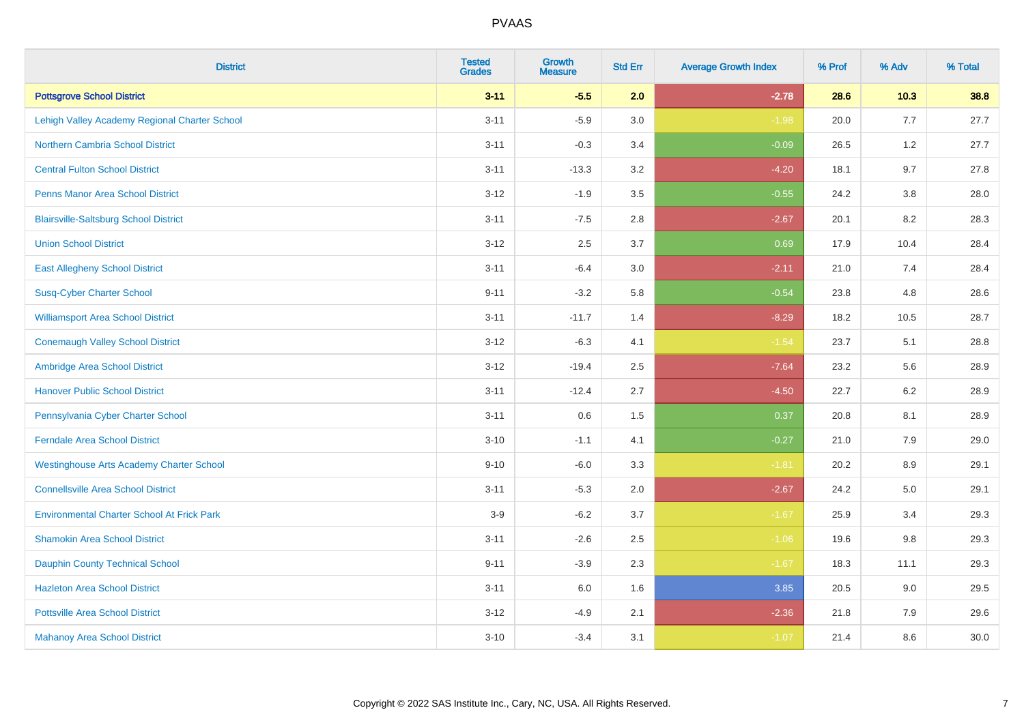| <b>District</b>                                   | <b>Tested</b><br><b>Grades</b> | <b>Growth</b><br><b>Measure</b> | <b>Std Err</b> | <b>Average Growth Index</b> | % Prof | % Adv   | % Total |
|---------------------------------------------------|--------------------------------|---------------------------------|----------------|-----------------------------|--------|---------|---------|
| <b>Pottsgrove School District</b>                 | $3 - 11$                       | $-5.5$                          | 2.0            | $-2.78$                     | 28.6   | $10.3$  | 38.8    |
| Lehigh Valley Academy Regional Charter School     | $3 - 11$                       | $-5.9$                          | 3.0            | $-1.98$                     | 20.0   | 7.7     | 27.7    |
| <b>Northern Cambria School District</b>           | $3 - 11$                       | $-0.3$                          | 3.4            | $-0.09$                     | 26.5   | 1.2     | 27.7    |
| <b>Central Fulton School District</b>             | $3 - 11$                       | $-13.3$                         | 3.2            | $-4.20$                     | 18.1   | 9.7     | 27.8    |
| <b>Penns Manor Area School District</b>           | $3 - 12$                       | $-1.9$                          | 3.5            | $-0.55$                     | 24.2   | 3.8     | 28.0    |
| <b>Blairsville-Saltsburg School District</b>      | $3 - 11$                       | $-7.5$                          | 2.8            | $-2.67$                     | 20.1   | 8.2     | 28.3    |
| <b>Union School District</b>                      | $3 - 12$                       | 2.5                             | 3.7            | 0.69                        | 17.9   | 10.4    | 28.4    |
| <b>East Allegheny School District</b>             | $3 - 11$                       | $-6.4$                          | 3.0            | $-2.11$                     | 21.0   | 7.4     | 28.4    |
| <b>Susq-Cyber Charter School</b>                  | $9 - 11$                       | $-3.2$                          | 5.8            | $-0.54$                     | 23.8   | 4.8     | 28.6    |
| <b>Williamsport Area School District</b>          | $3 - 11$                       | $-11.7$                         | 1.4            | $-8.29$                     | 18.2   | 10.5    | 28.7    |
| <b>Conemaugh Valley School District</b>           | $3 - 12$                       | $-6.3$                          | 4.1            | $-1.54$                     | 23.7   | 5.1     | 28.8    |
| Ambridge Area School District                     | $3 - 12$                       | $-19.4$                         | 2.5            | $-7.64$                     | 23.2   | 5.6     | 28.9    |
| <b>Hanover Public School District</b>             | $3 - 11$                       | $-12.4$                         | 2.7            | $-4.50$                     | 22.7   | $6.2\,$ | 28.9    |
| Pennsylvania Cyber Charter School                 | $3 - 11$                       | 0.6                             | 1.5            | 0.37                        | 20.8   | 8.1     | 28.9    |
| <b>Ferndale Area School District</b>              | $3 - 10$                       | $-1.1$                          | 4.1            | $-0.27$                     | 21.0   | 7.9     | 29.0    |
| <b>Westinghouse Arts Academy Charter School</b>   | $9 - 10$                       | $-6.0$                          | 3.3            | $-1.81$                     | 20.2   | 8.9     | 29.1    |
| <b>Connellsville Area School District</b>         | $3 - 11$                       | $-5.3$                          | 2.0            | $-2.67$                     | 24.2   | 5.0     | 29.1    |
| <b>Environmental Charter School At Frick Park</b> | $3-9$                          | $-6.2$                          | 3.7            | $-1.67$                     | 25.9   | 3.4     | 29.3    |
| <b>Shamokin Area School District</b>              | $3 - 11$                       | $-2.6$                          | 2.5            | $-1.06$                     | 19.6   | 9.8     | 29.3    |
| <b>Dauphin County Technical School</b>            | $9 - 11$                       | $-3.9$                          | 2.3            | $-1.67$                     | 18.3   | 11.1    | 29.3    |
| <b>Hazleton Area School District</b>              | $3 - 11$                       | 6.0                             | 1.6            | 3.85                        | 20.5   | 9.0     | 29.5    |
| <b>Pottsville Area School District</b>            | $3 - 12$                       | $-4.9$                          | 2.1            | $-2.36$                     | 21.8   | 7.9     | 29.6    |
| <b>Mahanoy Area School District</b>               | $3 - 10$                       | $-3.4$                          | 3.1            | $-1.07$                     | 21.4   | 8.6     | 30.0    |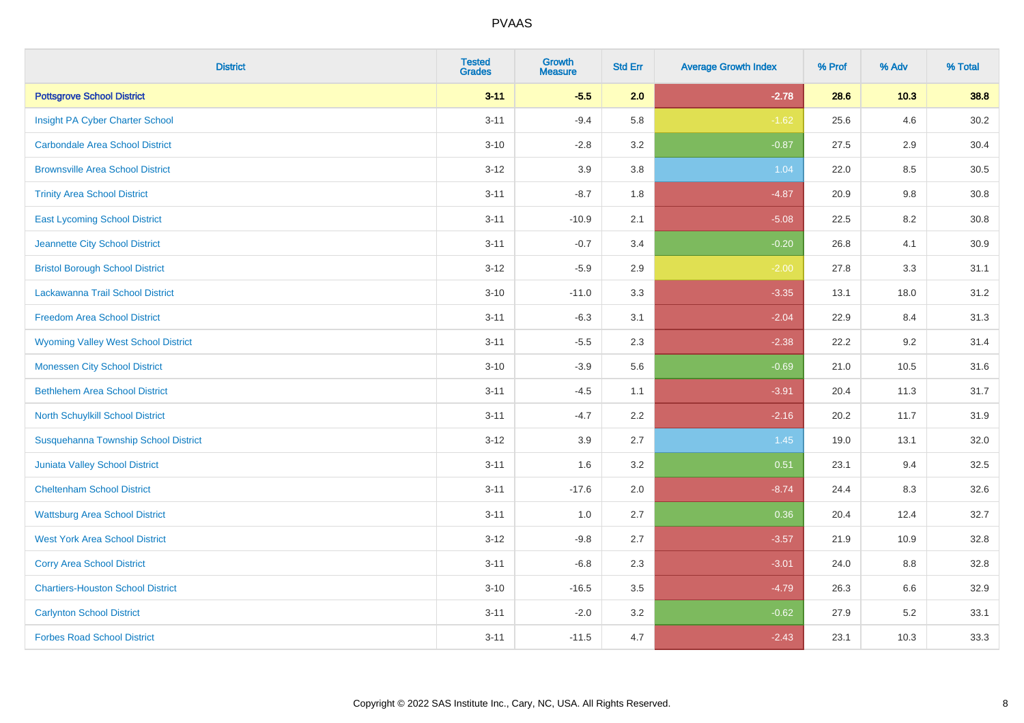| <b>District</b>                             | <b>Tested</b><br><b>Grades</b> | Growth<br><b>Measure</b> | <b>Std Err</b> | <b>Average Growth Index</b> | % Prof | % Adv   | % Total  |
|---------------------------------------------|--------------------------------|--------------------------|----------------|-----------------------------|--------|---------|----------|
| <b>Pottsgrove School District</b>           | $3 - 11$                       | $-5.5$                   | 2.0            | $-2.78$                     | 28.6   | $10.3$  | 38.8     |
| Insight PA Cyber Charter School             | $3 - 11$                       | $-9.4$                   | 5.8            | $-1.62$                     | 25.6   | 4.6     | 30.2     |
| <b>Carbondale Area School District</b>      | $3 - 10$                       | $-2.8$                   | 3.2            | $-0.87$                     | 27.5   | 2.9     | 30.4     |
| <b>Brownsville Area School District</b>     | $3 - 12$                       | 3.9                      | 3.8            | 1.04                        | 22.0   | $8.5\,$ | $30.5\,$ |
| <b>Trinity Area School District</b>         | $3 - 11$                       | $-8.7$                   | 1.8            | $-4.87$                     | 20.9   | 9.8     | 30.8     |
| <b>East Lycoming School District</b>        | $3 - 11$                       | $-10.9$                  | 2.1            | $-5.08$                     | 22.5   | 8.2     | 30.8     |
| Jeannette City School District              | $3 - 11$                       | $-0.7$                   | 3.4            | $-0.20$                     | 26.8   | 4.1     | 30.9     |
| <b>Bristol Borough School District</b>      | $3 - 12$                       | $-5.9$                   | 2.9            | $-2.00$                     | 27.8   | 3.3     | 31.1     |
| Lackawanna Trail School District            | $3 - 10$                       | $-11.0$                  | 3.3            | $-3.35$                     | 13.1   | 18.0    | 31.2     |
| <b>Freedom Area School District</b>         | $3 - 11$                       | $-6.3$                   | 3.1            | $-2.04$                     | 22.9   | 8.4     | 31.3     |
| <b>Wyoming Valley West School District</b>  | $3 - 11$                       | $-5.5$                   | 2.3            | $-2.38$                     | 22.2   | 9.2     | 31.4     |
| <b>Monessen City School District</b>        | $3 - 10$                       | $-3.9$                   | 5.6            | $-0.69$                     | 21.0   | 10.5    | 31.6     |
| <b>Bethlehem Area School District</b>       | $3 - 11$                       | $-4.5$                   | 1.1            | $-3.91$                     | 20.4   | 11.3    | 31.7     |
| North Schuylkill School District            | $3 - 11$                       | $-4.7$                   | 2.2            | $-2.16$                     | 20.2   | 11.7    | 31.9     |
| <b>Susquehanna Township School District</b> | $3 - 12$                       | 3.9                      | 2.7            | 1.45                        | 19.0   | 13.1    | 32.0     |
| <b>Juniata Valley School District</b>       | $3 - 11$                       | 1.6                      | 3.2            | 0.51                        | 23.1   | 9.4     | 32.5     |
| <b>Cheltenham School District</b>           | $3 - 11$                       | $-17.6$                  | 2.0            | $-8.74$                     | 24.4   | 8.3     | 32.6     |
| <b>Wattsburg Area School District</b>       | $3 - 11$                       | 1.0                      | 2.7            | 0.36                        | 20.4   | 12.4    | 32.7     |
| <b>West York Area School District</b>       | $3 - 12$                       | $-9.8$                   | 2.7            | $-3.57$                     | 21.9   | 10.9    | 32.8     |
| <b>Corry Area School District</b>           | $3 - 11$                       | $-6.8$                   | 2.3            | $-3.01$                     | 24.0   | 8.8     | 32.8     |
| <b>Chartiers-Houston School District</b>    | $3 - 10$                       | $-16.5$                  | 3.5            | $-4.79$                     | 26.3   | 6.6     | 32.9     |
| <b>Carlynton School District</b>            | $3 - 11$                       | $-2.0$                   | 3.2            | $-0.62$                     | 27.9   | 5.2     | 33.1     |
| <b>Forbes Road School District</b>          | $3 - 11$                       | $-11.5$                  | 4.7            | $-2.43$                     | 23.1   | 10.3    | 33.3     |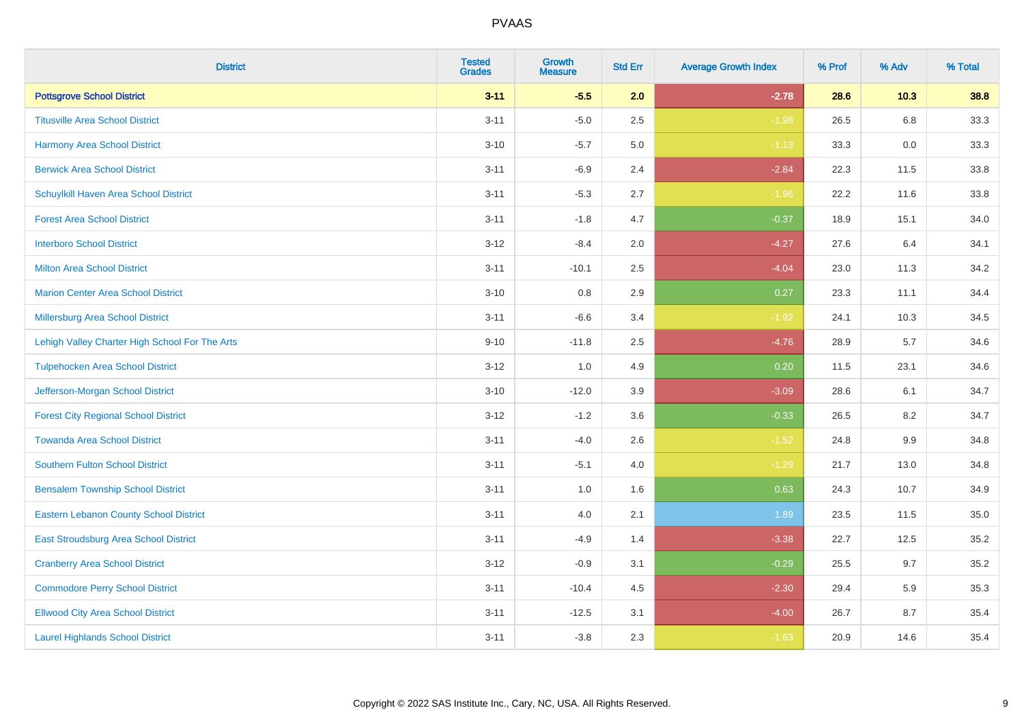| <b>District</b>                                | <b>Tested</b><br><b>Grades</b> | <b>Growth</b><br><b>Measure</b> | <b>Std Err</b> | <b>Average Growth Index</b> | % Prof | % Adv | % Total |
|------------------------------------------------|--------------------------------|---------------------------------|----------------|-----------------------------|--------|-------|---------|
| <b>Pottsgrove School District</b>              | $3 - 11$                       | $-5.5$                          | 2.0            | $-2.78$                     | 28.6   | 10.3  | 38.8    |
| <b>Titusville Area School District</b>         | $3 - 11$                       | $-5.0$                          | 2.5            | $-1.98$                     | 26.5   | 6.8   | 33.3    |
| <b>Harmony Area School District</b>            | $3 - 10$                       | $-5.7$                          | 5.0            | $-1.13$                     | 33.3   | 0.0   | 33.3    |
| <b>Berwick Area School District</b>            | $3 - 11$                       | $-6.9$                          | 2.4            | $-2.84$                     | 22.3   | 11.5  | 33.8    |
| Schuylkill Haven Area School District          | $3 - 11$                       | $-5.3$                          | 2.7            | $-1.96$                     | 22.2   | 11.6  | 33.8    |
| <b>Forest Area School District</b>             | $3 - 11$                       | $-1.8$                          | 4.7            | $-0.37$                     | 18.9   | 15.1  | 34.0    |
| <b>Interboro School District</b>               | $3 - 12$                       | $-8.4$                          | 2.0            | $-4.27$                     | 27.6   | 6.4   | 34.1    |
| <b>Milton Area School District</b>             | $3 - 11$                       | $-10.1$                         | 2.5            | $-4.04$                     | 23.0   | 11.3  | 34.2    |
| <b>Marion Center Area School District</b>      | $3 - 10$                       | 0.8                             | 2.9            | 0.27                        | 23.3   | 11.1  | 34.4    |
| <b>Millersburg Area School District</b>        | $3 - 11$                       | $-6.6$                          | 3.4            | $-1.92$                     | 24.1   | 10.3  | 34.5    |
| Lehigh Valley Charter High School For The Arts | $9 - 10$                       | $-11.8$                         | 2.5            | $-4.76$                     | 28.9   | 5.7   | 34.6    |
| <b>Tulpehocken Area School District</b>        | $3 - 12$                       | 1.0                             | 4.9            | 0.20                        | 11.5   | 23.1  | 34.6    |
| Jefferson-Morgan School District               | $3 - 10$                       | $-12.0$                         | 3.9            | $-3.09$                     | 28.6   | 6.1   | 34.7    |
| <b>Forest City Regional School District</b>    | $3 - 12$                       | $-1.2$                          | 3.6            | $-0.33$                     | 26.5   | 8.2   | 34.7    |
| <b>Towanda Area School District</b>            | $3 - 11$                       | $-4.0$                          | 2.6            | $-1.52$                     | 24.8   | 9.9   | 34.8    |
| <b>Southern Fulton School District</b>         | $3 - 11$                       | $-5.1$                          | 4.0            | $-1.29$                     | 21.7   | 13.0  | 34.8    |
| <b>Bensalem Township School District</b>       | $3 - 11$                       | 1.0                             | 1.6            | 0.63                        | 24.3   | 10.7  | 34.9    |
| <b>Eastern Lebanon County School District</b>  | $3 - 11$                       | 4.0                             | 2.1            | 1.89                        | 23.5   | 11.5  | 35.0    |
| East Stroudsburg Area School District          | $3 - 11$                       | $-4.9$                          | 1.4            | $-3.38$                     | 22.7   | 12.5  | 35.2    |
| <b>Cranberry Area School District</b>          | $3 - 12$                       | $-0.9$                          | 3.1            | $-0.29$                     | 25.5   | 9.7   | 35.2    |
| <b>Commodore Perry School District</b>         | $3 - 11$                       | $-10.4$                         | 4.5            | $-2.30$                     | 29.4   | 5.9   | 35.3    |
| <b>Ellwood City Area School District</b>       | $3 - 11$                       | $-12.5$                         | 3.1            | $-4.00$                     | 26.7   | 8.7   | 35.4    |
| <b>Laurel Highlands School District</b>        | $3 - 11$                       | $-3.8$                          | 2.3            | $-1.63$                     | 20.9   | 14.6  | 35.4    |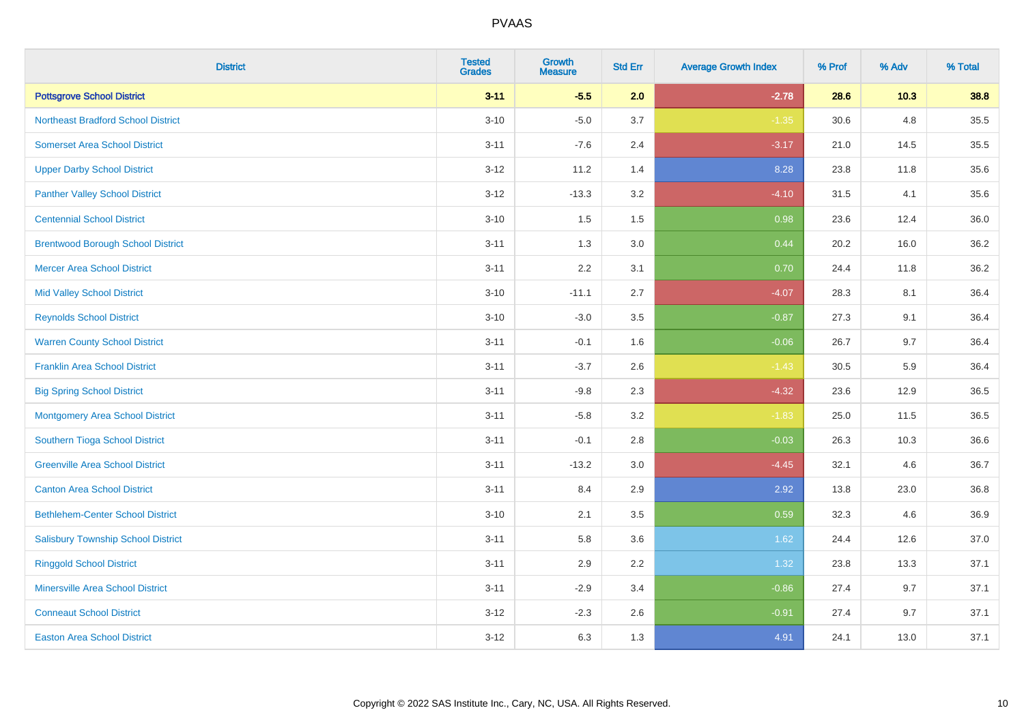| <b>District</b>                           | <b>Tested</b><br><b>Grades</b> | <b>Growth</b><br><b>Measure</b> | <b>Std Err</b> | <b>Average Growth Index</b> | % Prof | % Adv | % Total |
|-------------------------------------------|--------------------------------|---------------------------------|----------------|-----------------------------|--------|-------|---------|
| <b>Pottsgrove School District</b>         | $3 - 11$                       | $-5.5$                          | 2.0            | $-2.78$                     | 28.6   | 10.3  | 38.8    |
| <b>Northeast Bradford School District</b> | $3 - 10$                       | $-5.0$                          | 3.7            | $-1.35$                     | 30.6   | 4.8   | 35.5    |
| <b>Somerset Area School District</b>      | $3 - 11$                       | $-7.6$                          | 2.4            | $-3.17$                     | 21.0   | 14.5  | 35.5    |
| <b>Upper Darby School District</b>        | $3 - 12$                       | 11.2                            | 1.4            | 8.28                        | 23.8   | 11.8  | 35.6    |
| <b>Panther Valley School District</b>     | $3 - 12$                       | $-13.3$                         | 3.2            | $-4.10$                     | 31.5   | 4.1   | 35.6    |
| <b>Centennial School District</b>         | $3 - 10$                       | 1.5                             | 1.5            | 0.98                        | 23.6   | 12.4  | 36.0    |
| <b>Brentwood Borough School District</b>  | $3 - 11$                       | 1.3                             | 3.0            | 0.44                        | 20.2   | 16.0  | 36.2    |
| <b>Mercer Area School District</b>        | $3 - 11$                       | 2.2                             | 3.1            | 0.70                        | 24.4   | 11.8  | 36.2    |
| <b>Mid Valley School District</b>         | $3 - 10$                       | $-11.1$                         | 2.7            | $-4.07$                     | 28.3   | 8.1   | 36.4    |
| <b>Reynolds School District</b>           | $3 - 10$                       | $-3.0$                          | 3.5            | $-0.87$                     | 27.3   | 9.1   | 36.4    |
| <b>Warren County School District</b>      | $3 - 11$                       | $-0.1$                          | 1.6            | $-0.06$                     | 26.7   | 9.7   | 36.4    |
| <b>Franklin Area School District</b>      | $3 - 11$                       | $-3.7$                          | 2.6            | $-1.43$                     | 30.5   | 5.9   | 36.4    |
| <b>Big Spring School District</b>         | $3 - 11$                       | $-9.8$                          | 2.3            | $-4.32$                     | 23.6   | 12.9  | 36.5    |
| <b>Montgomery Area School District</b>    | $3 - 11$                       | $-5.8$                          | 3.2            | $-1.83$                     | 25.0   | 11.5  | 36.5    |
| Southern Tioga School District            | $3 - 11$                       | $-0.1$                          | 2.8            | $-0.03$                     | 26.3   | 10.3  | 36.6    |
| <b>Greenville Area School District</b>    | $3 - 11$                       | $-13.2$                         | 3.0            | $-4.45$                     | 32.1   | 4.6   | 36.7    |
| <b>Canton Area School District</b>        | $3 - 11$                       | 8.4                             | 2.9            | 2.92                        | 13.8   | 23.0  | 36.8    |
| <b>Bethlehem-Center School District</b>   | $3 - 10$                       | 2.1                             | 3.5            | 0.59                        | 32.3   | 4.6   | 36.9    |
| <b>Salisbury Township School District</b> | $3 - 11$                       | 5.8                             | 3.6            | 1.62                        | 24.4   | 12.6  | 37.0    |
| <b>Ringgold School District</b>           | $3 - 11$                       | 2.9                             | 2.2            | 1.32                        | 23.8   | 13.3  | 37.1    |
| <b>Minersville Area School District</b>   | $3 - 11$                       | $-2.9$                          | 3.4            | $-0.86$                     | 27.4   | 9.7   | 37.1    |
| <b>Conneaut School District</b>           | $3 - 12$                       | $-2.3$                          | 2.6            | $-0.91$                     | 27.4   | 9.7   | 37.1    |
| <b>Easton Area School District</b>        | $3-12$                         | 6.3                             | 1.3            | 4.91                        | 24.1   | 13.0  | 37.1    |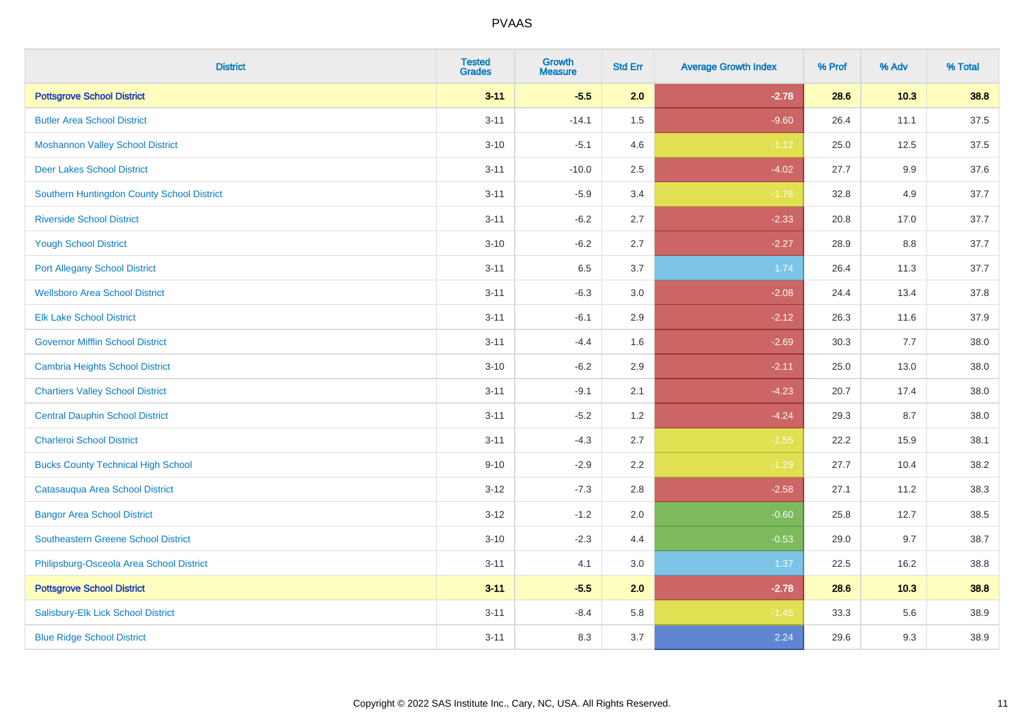| <b>District</b>                            | <b>Tested</b><br><b>Grades</b> | <b>Growth</b><br><b>Measure</b> | <b>Std Err</b> | <b>Average Growth Index</b> | % Prof | % Adv   | % Total |
|--------------------------------------------|--------------------------------|---------------------------------|----------------|-----------------------------|--------|---------|---------|
| <b>Pottsgrove School District</b>          | $3 - 11$                       | $-5.5$                          | 2.0            | $-2.78$                     | 28.6   | $10.3$  | 38.8    |
| <b>Butler Area School District</b>         | $3 - 11$                       | $-14.1$                         | 1.5            | $-9.60$                     | 26.4   | 11.1    | 37.5    |
| <b>Moshannon Valley School District</b>    | $3 - 10$                       | $-5.1$                          | 4.6            | $-1.12$                     | 25.0   | 12.5    | 37.5    |
| <b>Deer Lakes School District</b>          | $3 - 11$                       | $-10.0$                         | 2.5            | $-4.02$                     | 27.7   | 9.9     | 37.6    |
| Southern Huntingdon County School District | $3 - 11$                       | $-5.9$                          | 3.4            | $-1.76$                     | 32.8   | 4.9     | 37.7    |
| <b>Riverside School District</b>           | $3 - 11$                       | $-6.2$                          | 2.7            | $-2.33$                     | 20.8   | 17.0    | 37.7    |
| <b>Yough School District</b>               | $3 - 10$                       | $-6.2$                          | 2.7            | $-2.27$                     | 28.9   | $8.8\,$ | 37.7    |
| <b>Port Allegany School District</b>       | $3 - 11$                       | 6.5                             | 3.7            | 1.74                        | 26.4   | 11.3    | 37.7    |
| <b>Wellsboro Area School District</b>      | $3 - 11$                       | $-6.3$                          | 3.0            | $-2.08$                     | 24.4   | 13.4    | 37.8    |
| <b>Elk Lake School District</b>            | $3 - 11$                       | $-6.1$                          | 2.9            | $-2.12$                     | 26.3   | 11.6    | 37.9    |
| <b>Governor Mifflin School District</b>    | $3 - 11$                       | $-4.4$                          | 1.6            | $-2.69$                     | 30.3   | 7.7     | 38.0    |
| Cambria Heights School District            | $3 - 10$                       | $-6.2$                          | 2.9            | $-2.11$                     | 25.0   | 13.0    | 38.0    |
| <b>Chartiers Valley School District</b>    | $3 - 11$                       | $-9.1$                          | 2.1            | $-4.23$                     | 20.7   | 17.4    | 38.0    |
| <b>Central Dauphin School District</b>     | $3 - 11$                       | $-5.2$                          | 1.2            | $-4.24$                     | 29.3   | 8.7     | 38.0    |
| <b>Charleroi School District</b>           | $3 - 11$                       | $-4.3$                          | 2.7            | $-1.55$                     | 22.2   | 15.9    | 38.1    |
| <b>Bucks County Technical High School</b>  | $9 - 10$                       | $-2.9$                          | 2.2            | $-1.29$                     | 27.7   | 10.4    | 38.2    |
| Catasauqua Area School District            | $3 - 12$                       | $-7.3$                          | 2.8            | $-2.58$                     | 27.1   | 11.2    | 38.3    |
| <b>Bangor Area School District</b>         | $3 - 12$                       | $-1.2$                          | 2.0            | $-0.60$                     | 25.8   | 12.7    | 38.5    |
| <b>Southeastern Greene School District</b> | $3 - 10$                       | $-2.3$                          | 4.4            | $-0.53$                     | 29.0   | 9.7     | 38.7    |
| Philipsburg-Osceola Area School District   | $3 - 11$                       | 4.1                             | 3.0            | 1.37                        | 22.5   | 16.2    | 38.8    |
| <b>Pottsgrove School District</b>          | $3 - 11$                       | $-5.5$                          | 2.0            | $-2.78$                     | 28.6   | 10.3    | 38.8    |
| Salisbury-Elk Lick School District         | $3 - 11$                       | $-8.4$                          | 5.8            | $-1.45$                     | 33.3   | 5.6     | 38.9    |
| <b>Blue Ridge School District</b>          | $3 - 11$                       | 8.3                             | 3.7            | 2.24                        | 29.6   | 9.3     | 38.9    |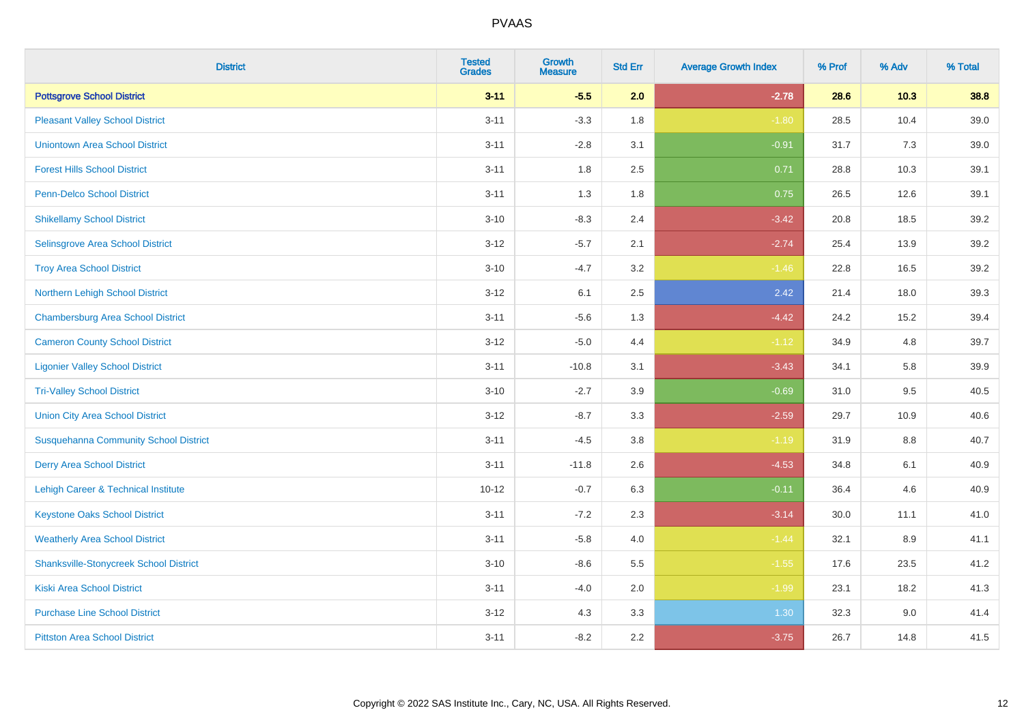| <b>District</b>                               | <b>Tested</b><br><b>Grades</b> | <b>Growth</b><br><b>Measure</b> | <b>Std Err</b> | <b>Average Growth Index</b> | % Prof | % Adv | % Total |
|-----------------------------------------------|--------------------------------|---------------------------------|----------------|-----------------------------|--------|-------|---------|
| <b>Pottsgrove School District</b>             | $3 - 11$                       | $-5.5$                          | 2.0            | $-2.78$                     | 28.6   | 10.3  | 38.8    |
| <b>Pleasant Valley School District</b>        | $3 - 11$                       | $-3.3$                          | 1.8            | $-1.80$                     | 28.5   | 10.4  | 39.0    |
| <b>Uniontown Area School District</b>         | $3 - 11$                       | $-2.8$                          | 3.1            | $-0.91$                     | 31.7   | 7.3   | 39.0    |
| <b>Forest Hills School District</b>           | $3 - 11$                       | 1.8                             | 2.5            | 0.71                        | 28.8   | 10.3  | 39.1    |
| Penn-Delco School District                    | $3 - 11$                       | 1.3                             | 1.8            | 0.75                        | 26.5   | 12.6  | 39.1    |
| <b>Shikellamy School District</b>             | $3 - 10$                       | $-8.3$                          | 2.4            | $-3.42$                     | 20.8   | 18.5  | 39.2    |
| Selinsgrove Area School District              | $3 - 12$                       | $-5.7$                          | 2.1            | $-2.74$                     | 25.4   | 13.9  | 39.2    |
| <b>Troy Area School District</b>              | $3 - 10$                       | $-4.7$                          | 3.2            | $-1.46$                     | 22.8   | 16.5  | 39.2    |
| Northern Lehigh School District               | $3 - 12$                       | 6.1                             | 2.5            | 2.42                        | 21.4   | 18.0  | 39.3    |
| <b>Chambersburg Area School District</b>      | $3 - 11$                       | $-5.6$                          | 1.3            | $-4.42$                     | 24.2   | 15.2  | 39.4    |
| <b>Cameron County School District</b>         | $3-12$                         | $-5.0$                          | 4.4            | $-1.12$                     | 34.9   | 4.8   | 39.7    |
| <b>Ligonier Valley School District</b>        | $3 - 11$                       | $-10.8$                         | 3.1            | $-3.43$                     | 34.1   | 5.8   | 39.9    |
| <b>Tri-Valley School District</b>             | $3 - 10$                       | $-2.7$                          | 3.9            | $-0.69$                     | 31.0   | 9.5   | 40.5    |
| <b>Union City Area School District</b>        | $3 - 12$                       | $-8.7$                          | 3.3            | $-2.59$                     | 29.7   | 10.9  | 40.6    |
| <b>Susquehanna Community School District</b>  | $3 - 11$                       | $-4.5$                          | 3.8            | $-1.19$                     | 31.9   | 8.8   | 40.7    |
| <b>Derry Area School District</b>             | $3 - 11$                       | $-11.8$                         | 2.6            | $-4.53$                     | 34.8   | 6.1   | 40.9    |
| Lehigh Career & Technical Institute           | $10 - 12$                      | $-0.7$                          | 6.3            | $-0.11$                     | 36.4   | 4.6   | 40.9    |
| <b>Keystone Oaks School District</b>          | $3 - 11$                       | $-7.2$                          | 2.3            | $-3.14$                     | 30.0   | 11.1  | 41.0    |
| <b>Weatherly Area School District</b>         | $3 - 11$                       | $-5.8$                          | 4.0            | $-1.44$                     | 32.1   | 8.9   | 41.1    |
| <b>Shanksville-Stonycreek School District</b> | $3 - 10$                       | $-8.6$                          | 5.5            | $-1.55$                     | 17.6   | 23.5  | 41.2    |
| <b>Kiski Area School District</b>             | $3 - 11$                       | $-4.0$                          | 2.0            | $-1.99$                     | 23.1   | 18.2  | 41.3    |
| <b>Purchase Line School District</b>          | $3 - 12$                       | 4.3                             | 3.3            | 1.30                        | 32.3   | 9.0   | 41.4    |
| <b>Pittston Area School District</b>          | $3 - 11$                       | $-8.2$                          | 2.2            | $-3.75$                     | 26.7   | 14.8  | 41.5    |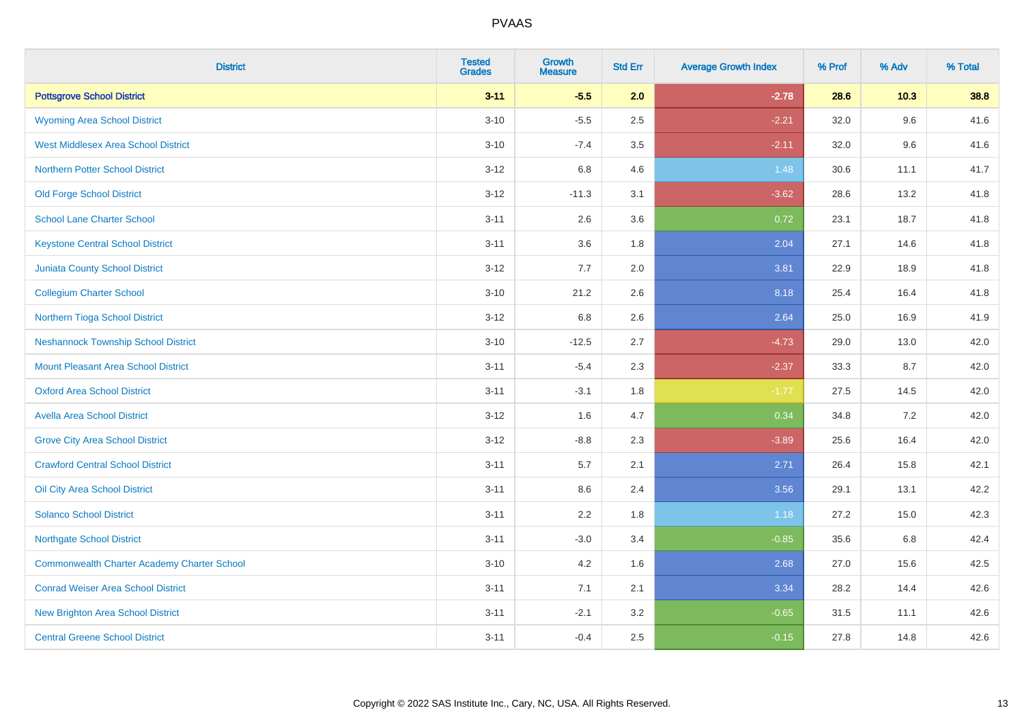| <b>District</b>                                    | <b>Tested</b><br><b>Grades</b> | <b>Growth</b><br><b>Measure</b> | <b>Std Err</b> | <b>Average Growth Index</b> | % Prof | % Adv | % Total |
|----------------------------------------------------|--------------------------------|---------------------------------|----------------|-----------------------------|--------|-------|---------|
| <b>Pottsgrove School District</b>                  | $3 - 11$                       | $-5.5$                          | 2.0            | $-2.78$                     | 28.6   | 10.3  | 38.8    |
| <b>Wyoming Area School District</b>                | $3 - 10$                       | $-5.5$                          | 2.5            | $-2.21$                     | 32.0   | 9.6   | 41.6    |
| <b>West Middlesex Area School District</b>         | $3 - 10$                       | $-7.4$                          | 3.5            | $-2.11$                     | 32.0   | 9.6   | 41.6    |
| <b>Northern Potter School District</b>             | $3 - 12$                       | 6.8                             | 4.6            | 1.48                        | 30.6   | 11.1  | 41.7    |
| <b>Old Forge School District</b>                   | $3 - 12$                       | $-11.3$                         | 3.1            | $-3.62$                     | 28.6   | 13.2  | 41.8    |
| <b>School Lane Charter School</b>                  | $3 - 11$                       | 2.6                             | 3.6            | 0.72                        | 23.1   | 18.7  | 41.8    |
| <b>Keystone Central School District</b>            | $3 - 11$                       | 3.6                             | 1.8            | 2.04                        | 27.1   | 14.6  | 41.8    |
| <b>Juniata County School District</b>              | $3 - 12$                       | 7.7                             | 2.0            | 3.81                        | 22.9   | 18.9  | 41.8    |
| <b>Collegium Charter School</b>                    | $3 - 10$                       | 21.2                            | 2.6            | 8.18                        | 25.4   | 16.4  | 41.8    |
| Northern Tioga School District                     | $3 - 12$                       | 6.8                             | 2.6            | 2.64                        | 25.0   | 16.9  | 41.9    |
| <b>Neshannock Township School District</b>         | $3 - 10$                       | $-12.5$                         | 2.7            | $-4.73$                     | 29.0   | 13.0  | 42.0    |
| <b>Mount Pleasant Area School District</b>         | $3 - 11$                       | $-5.4$                          | 2.3            | $-2.37$                     | 33.3   | 8.7   | 42.0    |
| <b>Oxford Area School District</b>                 | $3 - 11$                       | $-3.1$                          | 1.8            | $-1.77$                     | 27.5   | 14.5  | 42.0    |
| <b>Avella Area School District</b>                 | $3 - 12$                       | 1.6                             | 4.7            | 0.34                        | 34.8   | 7.2   | 42.0    |
| <b>Grove City Area School District</b>             | $3 - 12$                       | $-8.8$                          | 2.3            | $-3.89$                     | 25.6   | 16.4  | 42.0    |
| <b>Crawford Central School District</b>            | $3 - 11$                       | 5.7                             | 2.1            | 2.71                        | 26.4   | 15.8  | 42.1    |
| Oil City Area School District                      | $3 - 11$                       | 8.6                             | 2.4            | 3.56                        | 29.1   | 13.1  | 42.2    |
| <b>Solanco School District</b>                     | $3 - 11$                       | 2.2                             | 1.8            | 1.18                        | 27.2   | 15.0  | 42.3    |
| <b>Northgate School District</b>                   | $3 - 11$                       | $-3.0$                          | 3.4            | $-0.85$                     | 35.6   | 6.8   | 42.4    |
| <b>Commonwealth Charter Academy Charter School</b> | $3 - 10$                       | 4.2                             | 1.6            | 2.68                        | 27.0   | 15.6  | 42.5    |
| <b>Conrad Weiser Area School District</b>          | $3 - 11$                       | 7.1                             | 2.1            | 3.34                        | 28.2   | 14.4  | 42.6    |
| <b>New Brighton Area School District</b>           | $3 - 11$                       | $-2.1$                          | 3.2            | $-0.65$                     | 31.5   | 11.1  | 42.6    |
| <b>Central Greene School District</b>              | $3 - 11$                       | $-0.4$                          | 2.5            | $-0.15$                     | 27.8   | 14.8  | 42.6    |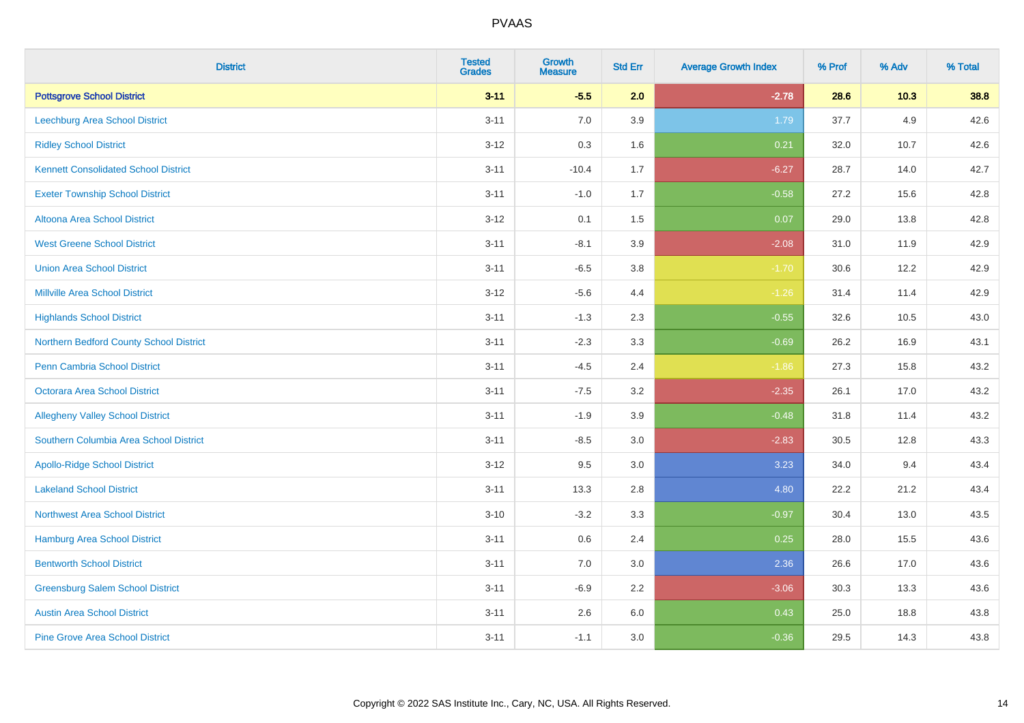| <b>District</b>                             | <b>Tested</b><br><b>Grades</b> | <b>Growth</b><br><b>Measure</b> | <b>Std Err</b> | <b>Average Growth Index</b> | % Prof | % Adv | % Total |
|---------------------------------------------|--------------------------------|---------------------------------|----------------|-----------------------------|--------|-------|---------|
| <b>Pottsgrove School District</b>           | $3 - 11$                       | $-5.5$                          | 2.0            | $-2.78$                     | 28.6   | 10.3  | 38.8    |
| <b>Leechburg Area School District</b>       | $3 - 11$                       | 7.0                             | 3.9            | 1.79                        | 37.7   | 4.9   | 42.6    |
| <b>Ridley School District</b>               | $3 - 12$                       | 0.3                             | 1.6            | 0.21                        | 32.0   | 10.7  | 42.6    |
| <b>Kennett Consolidated School District</b> | $3 - 11$                       | $-10.4$                         | 1.7            | $-6.27$                     | 28.7   | 14.0  | 42.7    |
| <b>Exeter Township School District</b>      | $3 - 11$                       | $-1.0$                          | 1.7            | $-0.58$                     | 27.2   | 15.6  | 42.8    |
| <b>Altoona Area School District</b>         | $3 - 12$                       | 0.1                             | 1.5            | 0.07                        | 29.0   | 13.8  | 42.8    |
| <b>West Greene School District</b>          | $3 - 11$                       | $-8.1$                          | 3.9            | $-2.08$                     | 31.0   | 11.9  | 42.9    |
| <b>Union Area School District</b>           | $3 - 11$                       | $-6.5$                          | 3.8            | $-1.70$                     | 30.6   | 12.2  | 42.9    |
| <b>Millville Area School District</b>       | $3 - 12$                       | $-5.6$                          | 4.4            | $-1.26$                     | 31.4   | 11.4  | 42.9    |
| <b>Highlands School District</b>            | $3 - 11$                       | $-1.3$                          | 2.3            | $-0.55$                     | 32.6   | 10.5  | 43.0    |
| Northern Bedford County School District     | $3 - 11$                       | $-2.3$                          | 3.3            | $-0.69$                     | 26.2   | 16.9  | 43.1    |
| <b>Penn Cambria School District</b>         | $3 - 11$                       | $-4.5$                          | 2.4            | $-1.86$                     | 27.3   | 15.8  | 43.2    |
| Octorara Area School District               | $3 - 11$                       | $-7.5$                          | 3.2            | $-2.35$                     | 26.1   | 17.0  | 43.2    |
| <b>Allegheny Valley School District</b>     | $3 - 11$                       | $-1.9$                          | 3.9            | $-0.48$                     | 31.8   | 11.4  | 43.2    |
| Southern Columbia Area School District      | $3 - 11$                       | $-8.5$                          | 3.0            | $-2.83$                     | 30.5   | 12.8  | 43.3    |
| <b>Apollo-Ridge School District</b>         | $3 - 12$                       | 9.5                             | 3.0            | 3.23                        | 34.0   | 9.4   | 43.4    |
| <b>Lakeland School District</b>             | $3 - 11$                       | 13.3                            | 2.8            | 4.80                        | 22.2   | 21.2  | 43.4    |
| Northwest Area School District              | $3 - 10$                       | $-3.2$                          | 3.3            | $-0.97$                     | 30.4   | 13.0  | 43.5    |
| <b>Hamburg Area School District</b>         | $3 - 11$                       | 0.6                             | 2.4            | 0.25                        | 28.0   | 15.5  | 43.6    |
| <b>Bentworth School District</b>            | $3 - 11$                       | 7.0                             | 3.0            | 2.36                        | 26.6   | 17.0  | 43.6    |
| <b>Greensburg Salem School District</b>     | $3 - 11$                       | $-6.9$                          | 2.2            | $-3.06$                     | 30.3   | 13.3  | 43.6    |
| <b>Austin Area School District</b>          | $3 - 11$                       | 2.6                             | 6.0            | 0.43                        | 25.0   | 18.8  | 43.8    |
| <b>Pine Grove Area School District</b>      | $3 - 11$                       | $-1.1$                          | 3.0            | $-0.36$                     | 29.5   | 14.3  | 43.8    |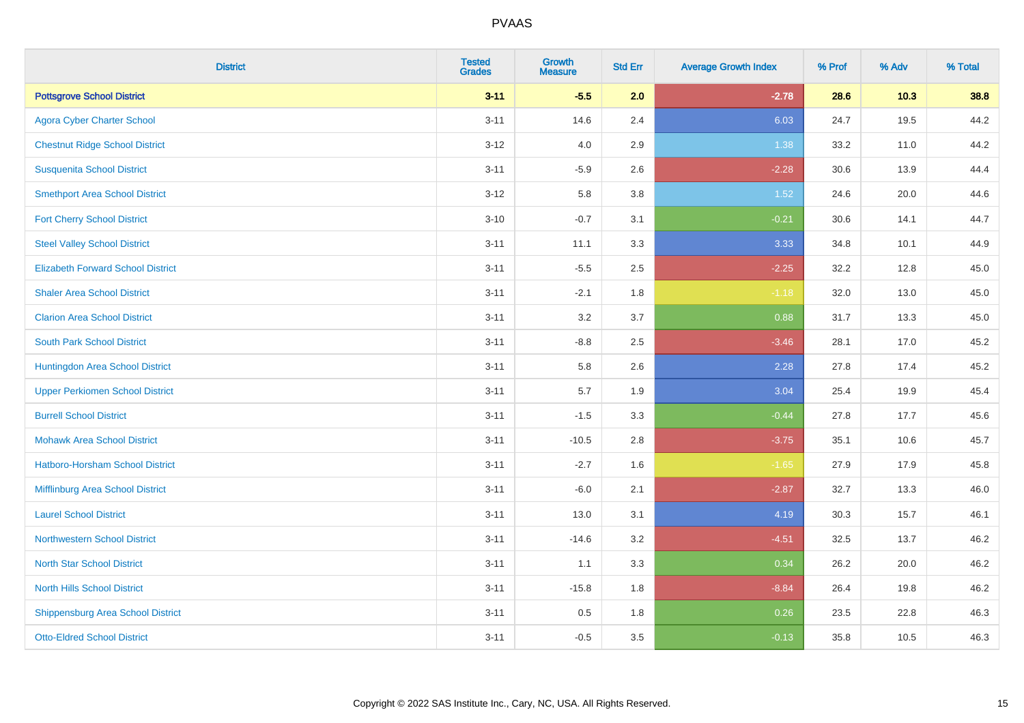| <b>District</b>                          | <b>Tested</b><br><b>Grades</b> | <b>Growth</b><br><b>Measure</b> | <b>Std Err</b> | <b>Average Growth Index</b> | % Prof | % Adv | % Total |
|------------------------------------------|--------------------------------|---------------------------------|----------------|-----------------------------|--------|-------|---------|
| <b>Pottsgrove School District</b>        | $3 - 11$                       | $-5.5$                          | 2.0            | $-2.78$                     | 28.6   | 10.3  | 38.8    |
| <b>Agora Cyber Charter School</b>        | $3 - 11$                       | 14.6                            | 2.4            | 6.03                        | 24.7   | 19.5  | 44.2    |
| <b>Chestnut Ridge School District</b>    | $3 - 12$                       | 4.0                             | 2.9            | 1.38                        | 33.2   | 11.0  | 44.2    |
| <b>Susquenita School District</b>        | $3 - 11$                       | $-5.9$                          | 2.6            | $-2.28$                     | 30.6   | 13.9  | 44.4    |
| <b>Smethport Area School District</b>    | $3-12$                         | 5.8                             | 3.8            | 1.52                        | 24.6   | 20.0  | 44.6    |
| <b>Fort Cherry School District</b>       | $3 - 10$                       | $-0.7$                          | 3.1            | $-0.21$                     | 30.6   | 14.1  | 44.7    |
| <b>Steel Valley School District</b>      | $3 - 11$                       | 11.1                            | 3.3            | 3.33                        | 34.8   | 10.1  | 44.9    |
| <b>Elizabeth Forward School District</b> | $3 - 11$                       | $-5.5$                          | 2.5            | $-2.25$                     | 32.2   | 12.8  | 45.0    |
| <b>Shaler Area School District</b>       | $3 - 11$                       | $-2.1$                          | 1.8            | $-1.18$                     | 32.0   | 13.0  | 45.0    |
| <b>Clarion Area School District</b>      | $3 - 11$                       | 3.2                             | 3.7            | 0.88                        | 31.7   | 13.3  | 45.0    |
| <b>South Park School District</b>        | $3 - 11$                       | $-8.8$                          | 2.5            | $-3.46$                     | 28.1   | 17.0  | 45.2    |
| Huntingdon Area School District          | $3 - 11$                       | 5.8                             | 2.6            | 2.28                        | 27.8   | 17.4  | 45.2    |
| <b>Upper Perkiomen School District</b>   | $3 - 11$                       | 5.7                             | 1.9            | 3.04                        | 25.4   | 19.9  | 45.4    |
| <b>Burrell School District</b>           | $3 - 11$                       | $-1.5$                          | 3.3            | $-0.44$                     | 27.8   | 17.7  | 45.6    |
| <b>Mohawk Area School District</b>       | $3 - 11$                       | $-10.5$                         | 2.8            | $-3.75$                     | 35.1   | 10.6  | 45.7    |
| <b>Hatboro-Horsham School District</b>   | $3 - 11$                       | $-2.7$                          | 1.6            | $-1.65$                     | 27.9   | 17.9  | 45.8    |
| Mifflinburg Area School District         | $3 - 11$                       | $-6.0$                          | 2.1            | $-2.87$                     | 32.7   | 13.3  | 46.0    |
| <b>Laurel School District</b>            | $3 - 11$                       | 13.0                            | 3.1            | 4.19                        | 30.3   | 15.7  | 46.1    |
| <b>Northwestern School District</b>      | $3 - 11$                       | $-14.6$                         | 3.2            | $-4.51$                     | 32.5   | 13.7  | 46.2    |
| <b>North Star School District</b>        | $3 - 11$                       | 1.1                             | 3.3            | 0.34                        | 26.2   | 20.0  | 46.2    |
| <b>North Hills School District</b>       | $3 - 11$                       | $-15.8$                         | 1.8            | $-8.84$                     | 26.4   | 19.8  | 46.2    |
| <b>Shippensburg Area School District</b> | $3 - 11$                       | $0.5\,$                         | 1.8            | 0.26                        | 23.5   | 22.8  | 46.3    |
| <b>Otto-Eldred School District</b>       | $3 - 11$                       | $-0.5$                          | 3.5            | $-0.13$                     | 35.8   | 10.5  | 46.3    |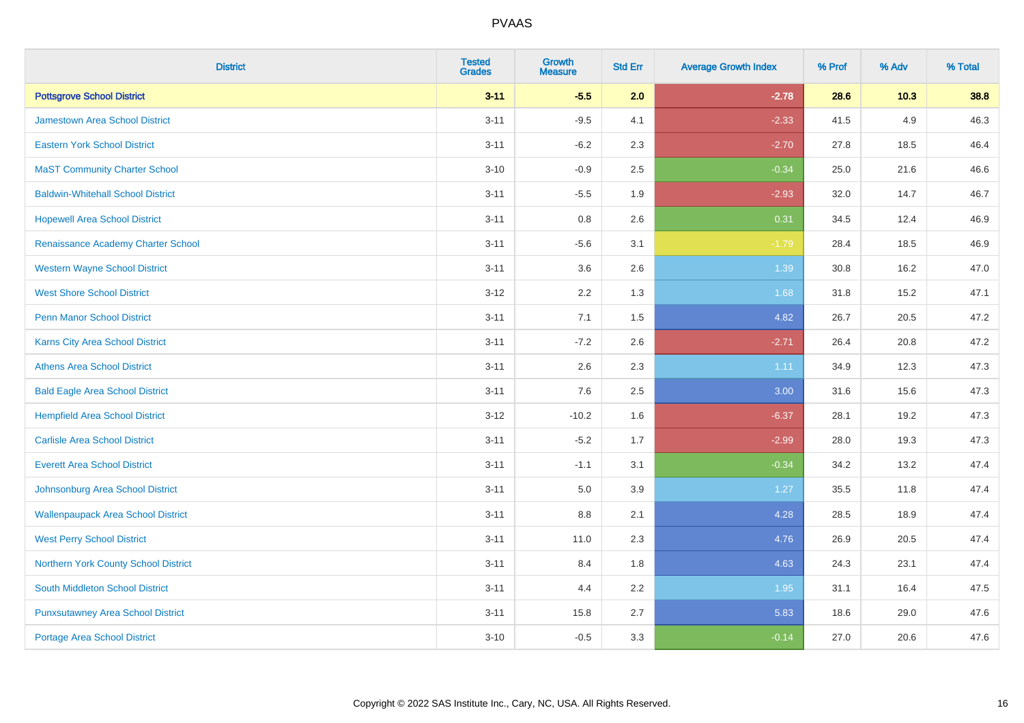| <b>District</b>                           | <b>Tested</b><br><b>Grades</b> | Growth<br><b>Measure</b> | <b>Std Err</b> | <b>Average Growth Index</b> | % Prof | % Adv  | % Total |
|-------------------------------------------|--------------------------------|--------------------------|----------------|-----------------------------|--------|--------|---------|
| <b>Pottsgrove School District</b>         | $3 - 11$                       | $-5.5$                   | 2.0            | $-2.78$                     | 28.6   | $10.3$ | 38.8    |
| Jamestown Area School District            | $3 - 11$                       | $-9.5$                   | 4.1            | $-2.33$                     | 41.5   | 4.9    | 46.3    |
| <b>Eastern York School District</b>       | $3 - 11$                       | $-6.2$                   | 2.3            | $-2.70$                     | 27.8   | 18.5   | 46.4    |
| <b>MaST Community Charter School</b>      | $3 - 10$                       | $-0.9$                   | 2.5            | $-0.34$                     | 25.0   | 21.6   | 46.6    |
| <b>Baldwin-Whitehall School District</b>  | $3 - 11$                       | $-5.5$                   | 1.9            | $-2.93$                     | 32.0   | 14.7   | 46.7    |
| <b>Hopewell Area School District</b>      | $3 - 11$                       | 0.8                      | 2.6            | 0.31                        | 34.5   | 12.4   | 46.9    |
| Renaissance Academy Charter School        | $3 - 11$                       | $-5.6$                   | 3.1            | $-1.79$                     | 28.4   | 18.5   | 46.9    |
| <b>Western Wayne School District</b>      | $3 - 11$                       | 3.6                      | 2.6            | 1.39                        | 30.8   | 16.2   | 47.0    |
| <b>West Shore School District</b>         | $3 - 12$                       | 2.2                      | 1.3            | 1.68                        | 31.8   | 15.2   | 47.1    |
| <b>Penn Manor School District</b>         | $3 - 11$                       | 7.1                      | 1.5            | 4.82                        | 26.7   | 20.5   | 47.2    |
| <b>Karns City Area School District</b>    | $3 - 11$                       | $-7.2$                   | 2.6            | $-2.71$                     | 26.4   | 20.8   | 47.2    |
| <b>Athens Area School District</b>        | $3 - 11$                       | 2.6                      | 2.3            | 1.11                        | 34.9   | 12.3   | 47.3    |
| <b>Bald Eagle Area School District</b>    | $3 - 11$                       | 7.6                      | 2.5            | 3.00                        | 31.6   | 15.6   | 47.3    |
| <b>Hempfield Area School District</b>     | $3 - 12$                       | $-10.2$                  | 1.6            | $-6.37$                     | 28.1   | 19.2   | 47.3    |
| <b>Carlisle Area School District</b>      | $3 - 11$                       | $-5.2$                   | 1.7            | $-2.99$                     | 28.0   | 19.3   | 47.3    |
| <b>Everett Area School District</b>       | $3 - 11$                       | $-1.1$                   | 3.1            | $-0.34$                     | 34.2   | 13.2   | 47.4    |
| Johnsonburg Area School District          | $3 - 11$                       | 5.0                      | 3.9            | 1.27                        | 35.5   | 11.8   | 47.4    |
| <b>Wallenpaupack Area School District</b> | $3 - 11$                       | 8.8                      | 2.1            | 4.28                        | 28.5   | 18.9   | 47.4    |
| <b>West Perry School District</b>         | $3 - 11$                       | 11.0                     | 2.3            | 4.76                        | 26.9   | 20.5   | 47.4    |
| Northern York County School District      | $3 - 11$                       | 8.4                      | 1.8            | 4.63                        | 24.3   | 23.1   | 47.4    |
| <b>South Middleton School District</b>    | $3 - 11$                       | 4.4                      | 2.2            | 1.95                        | 31.1   | 16.4   | 47.5    |
| <b>Punxsutawney Area School District</b>  | $3 - 11$                       | 15.8                     | 2.7            | 5.83                        | 18.6   | 29.0   | 47.6    |
| <b>Portage Area School District</b>       | $3 - 10$                       | $-0.5$                   | 3.3            | $-0.14$                     | 27.0   | 20.6   | 47.6    |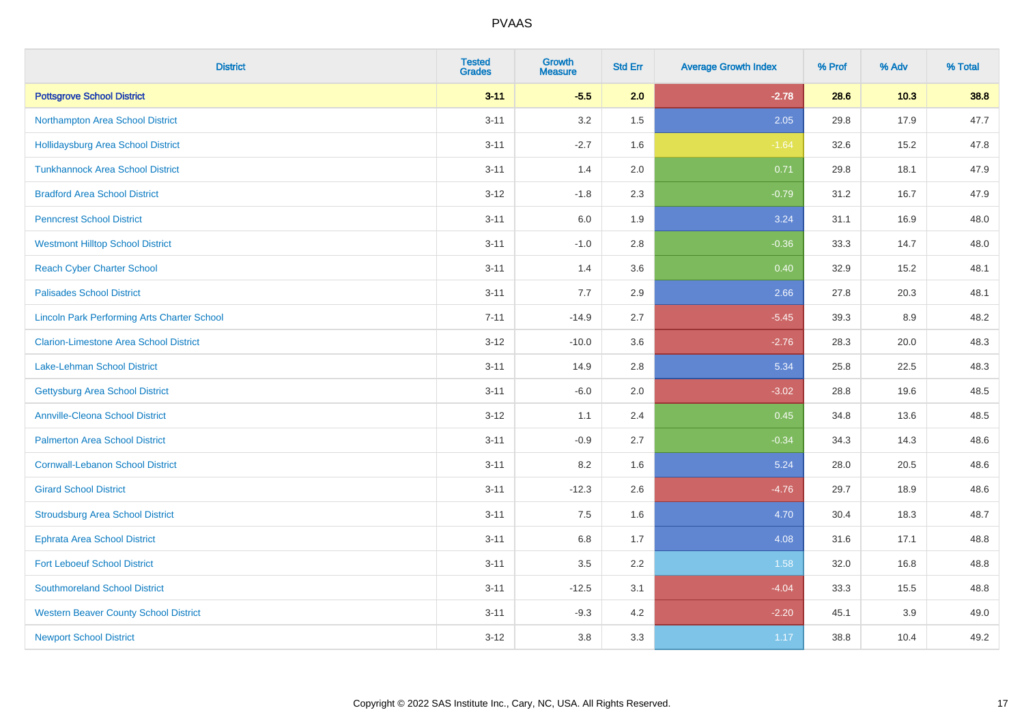| <b>District</b>                                    | <b>Tested</b><br><b>Grades</b> | <b>Growth</b><br><b>Measure</b> | <b>Std Err</b> | <b>Average Growth Index</b> | % Prof | % Adv | % Total |
|----------------------------------------------------|--------------------------------|---------------------------------|----------------|-----------------------------|--------|-------|---------|
| <b>Pottsgrove School District</b>                  | $3 - 11$                       | $-5.5$                          | 2.0            | $-2.78$                     | 28.6   | 10.3  | 38.8    |
| Northampton Area School District                   | $3 - 11$                       | 3.2                             | 1.5            | 2.05                        | 29.8   | 17.9  | 47.7    |
| <b>Hollidaysburg Area School District</b>          | $3 - 11$                       | $-2.7$                          | 1.6            | $-1.64$                     | 32.6   | 15.2  | 47.8    |
| <b>Tunkhannock Area School District</b>            | $3 - 11$                       | 1.4                             | 2.0            | 0.71                        | 29.8   | 18.1  | 47.9    |
| <b>Bradford Area School District</b>               | $3-12$                         | $-1.8$                          | 2.3            | $-0.79$                     | 31.2   | 16.7  | 47.9    |
| <b>Penncrest School District</b>                   | $3 - 11$                       | 6.0                             | 1.9            | 3.24                        | 31.1   | 16.9  | 48.0    |
| <b>Westmont Hilltop School District</b>            | $3 - 11$                       | $-1.0$                          | 2.8            | $-0.36$                     | 33.3   | 14.7  | 48.0    |
| <b>Reach Cyber Charter School</b>                  | $3 - 11$                       | 1.4                             | 3.6            | 0.40                        | 32.9   | 15.2  | 48.1    |
| <b>Palisades School District</b>                   | $3 - 11$                       | 7.7                             | 2.9            | 2.66                        | 27.8   | 20.3  | 48.1    |
| <b>Lincoln Park Performing Arts Charter School</b> | $7 - 11$                       | $-14.9$                         | 2.7            | $-5.45$                     | 39.3   | 8.9   | 48.2    |
| <b>Clarion-Limestone Area School District</b>      | $3 - 12$                       | $-10.0$                         | 3.6            | $-2.76$                     | 28.3   | 20.0  | 48.3    |
| Lake-Lehman School District                        | $3 - 11$                       | 14.9                            | 2.8            | 5.34                        | 25.8   | 22.5  | 48.3    |
| <b>Gettysburg Area School District</b>             | $3 - 11$                       | $-6.0$                          | 2.0            | $-3.02$                     | 28.8   | 19.6  | 48.5    |
| <b>Annville-Cleona School District</b>             | $3 - 12$                       | 1.1                             | 2.4            | 0.45                        | 34.8   | 13.6  | 48.5    |
| <b>Palmerton Area School District</b>              | $3 - 11$                       | $-0.9$                          | 2.7            | $-0.34$                     | 34.3   | 14.3  | 48.6    |
| <b>Cornwall-Lebanon School District</b>            | $3 - 11$                       | 8.2                             | 1.6            | 5.24                        | 28.0   | 20.5  | 48.6    |
| <b>Girard School District</b>                      | $3 - 11$                       | $-12.3$                         | 2.6            | $-4.76$                     | 29.7   | 18.9  | 48.6    |
| <b>Stroudsburg Area School District</b>            | $3 - 11$                       | 7.5                             | 1.6            | 4.70                        | 30.4   | 18.3  | 48.7    |
| <b>Ephrata Area School District</b>                | $3 - 11$                       | $6.8\,$                         | 1.7            | 4.08                        | 31.6   | 17.1  | 48.8    |
| <b>Fort Leboeuf School District</b>                | $3 - 11$                       | 3.5                             | 2.2            | 1.58                        | 32.0   | 16.8  | 48.8    |
| <b>Southmoreland School District</b>               | $3 - 11$                       | $-12.5$                         | 3.1            | $-4.04$                     | 33.3   | 15.5  | 48.8    |
| <b>Western Beaver County School District</b>       | $3 - 11$                       | $-9.3$                          | 4.2            | $-2.20$                     | 45.1   | 3.9   | 49.0    |
| <b>Newport School District</b>                     | $3-12$                         | 3.8                             | 3.3            | 1.17                        | 38.8   | 10.4  | 49.2    |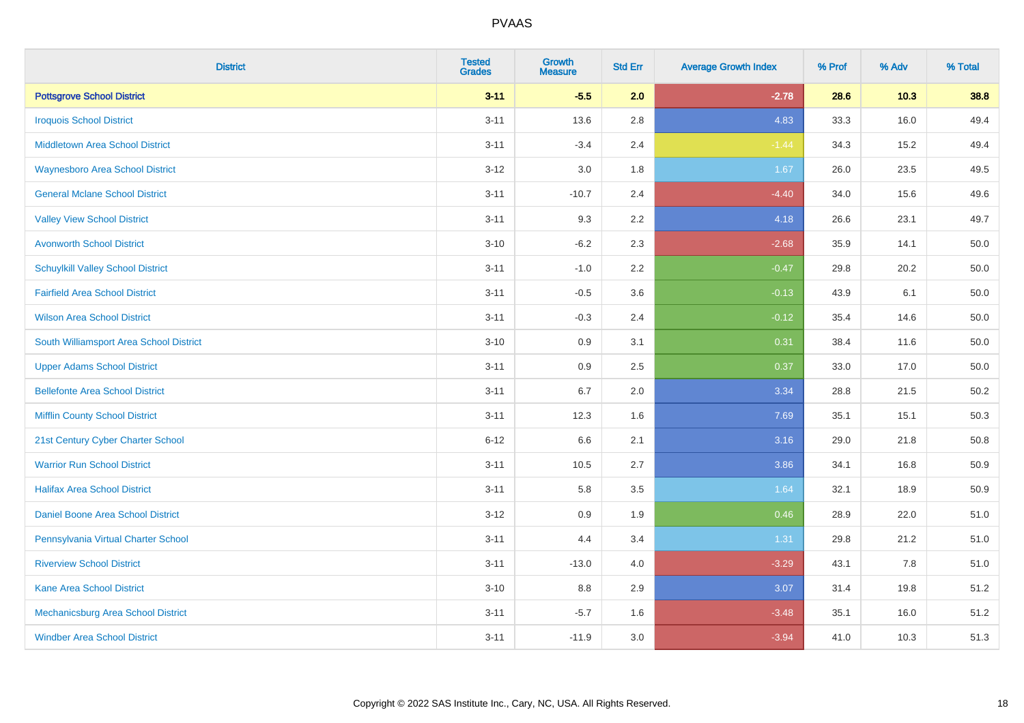| <b>District</b>                          | <b>Tested</b><br><b>Grades</b> | Growth<br><b>Measure</b> | <b>Std Err</b> | <b>Average Growth Index</b> | % Prof | % Adv  | % Total  |
|------------------------------------------|--------------------------------|--------------------------|----------------|-----------------------------|--------|--------|----------|
| <b>Pottsgrove School District</b>        | $3 - 11$                       | $-5.5$                   | 2.0            | $-2.78$                     | 28.6   | $10.3$ | 38.8     |
| <b>Iroquois School District</b>          | $3 - 11$                       | 13.6                     | 2.8            | 4.83                        | 33.3   | 16.0   | 49.4     |
| <b>Middletown Area School District</b>   | $3 - 11$                       | $-3.4$                   | 2.4            | $-1.44$                     | 34.3   | 15.2   | 49.4     |
| <b>Waynesboro Area School District</b>   | $3 - 12$                       | 3.0                      | 1.8            | 1.67                        | 26.0   | 23.5   | 49.5     |
| <b>General Mclane School District</b>    | $3 - 11$                       | $-10.7$                  | 2.4            | $-4.40$                     | 34.0   | 15.6   | 49.6     |
| <b>Valley View School District</b>       | $3 - 11$                       | 9.3                      | 2.2            | 4.18                        | 26.6   | 23.1   | 49.7     |
| <b>Avonworth School District</b>         | $3 - 10$                       | $-6.2$                   | 2.3            | $-2.68$                     | 35.9   | 14.1   | 50.0     |
| <b>Schuylkill Valley School District</b> | $3 - 11$                       | $-1.0$                   | 2.2            | $-0.47$                     | 29.8   | 20.2   | 50.0     |
| <b>Fairfield Area School District</b>    | $3 - 11$                       | $-0.5$                   | 3.6            | $-0.13$                     | 43.9   | 6.1    | 50.0     |
| <b>Wilson Area School District</b>       | $3 - 11$                       | $-0.3$                   | 2.4            | $-0.12$                     | 35.4   | 14.6   | $50.0\,$ |
| South Williamsport Area School District  | $3 - 10$                       | 0.9                      | 3.1            | 0.31                        | 38.4   | 11.6   | 50.0     |
| <b>Upper Adams School District</b>       | $3 - 11$                       | 0.9                      | 2.5            | 0.37                        | 33.0   | 17.0   | $50.0\,$ |
| <b>Bellefonte Area School District</b>   | $3 - 11$                       | 6.7                      | 2.0            | 3.34                        | 28.8   | 21.5   | 50.2     |
| <b>Mifflin County School District</b>    | $3 - 11$                       | 12.3                     | 1.6            | 7.69                        | 35.1   | 15.1   | 50.3     |
| 21st Century Cyber Charter School        | $6 - 12$                       | 6.6                      | 2.1            | 3.16                        | 29.0   | 21.8   | 50.8     |
| <b>Warrior Run School District</b>       | $3 - 11$                       | 10.5                     | 2.7            | 3.86                        | 34.1   | 16.8   | 50.9     |
| <b>Halifax Area School District</b>      | $3 - 11$                       | 5.8                      | 3.5            | 1.64                        | 32.1   | 18.9   | 50.9     |
| Daniel Boone Area School District        | $3 - 12$                       | 0.9                      | 1.9            | 0.46                        | 28.9   | 22.0   | 51.0     |
| Pennsylvania Virtual Charter School      | $3 - 11$                       | 4.4                      | 3.4            | 1.31                        | 29.8   | 21.2   | 51.0     |
| <b>Riverview School District</b>         | $3 - 11$                       | $-13.0$                  | 4.0            | $-3.29$                     | 43.1   | 7.8    | 51.0     |
| Kane Area School District                | $3 - 10$                       | 8.8                      | 2.9            | 3.07                        | 31.4   | 19.8   | 51.2     |
| Mechanicsburg Area School District       | $3 - 11$                       | $-5.7$                   | 1.6            | $-3.48$                     | 35.1   | 16.0   | 51.2     |
| <b>Windber Area School District</b>      | $3 - 11$                       | $-11.9$                  | 3.0            | $-3.94$                     | 41.0   | 10.3   | 51.3     |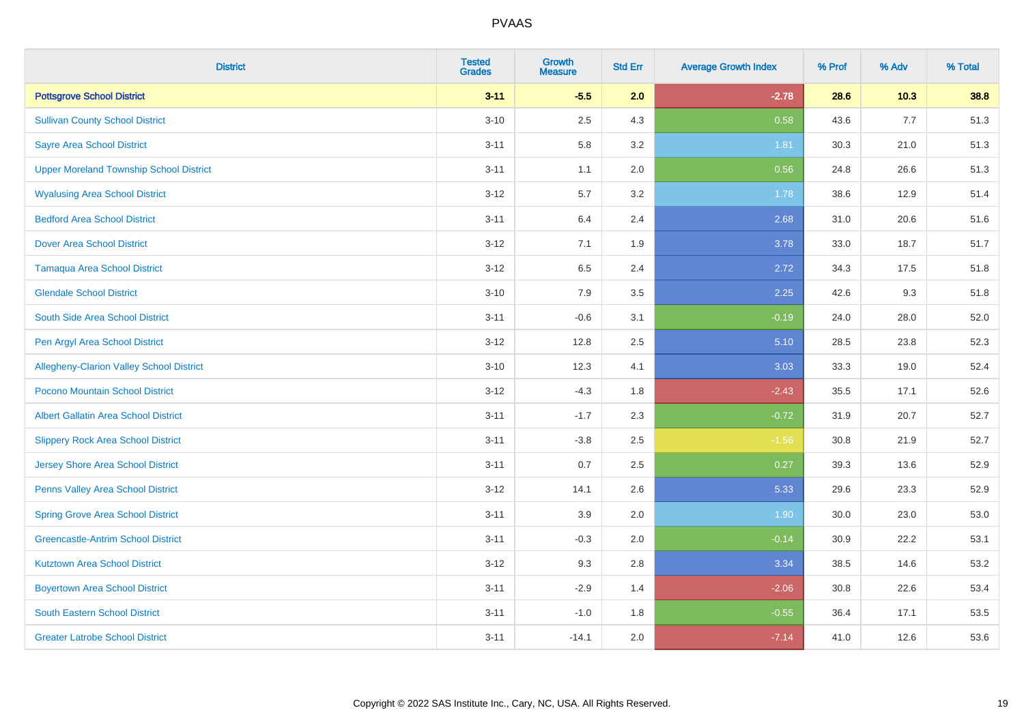| <b>District</b>                                | <b>Tested</b><br><b>Grades</b> | <b>Growth</b><br><b>Measure</b> | <b>Std Err</b> | <b>Average Growth Index</b> | % Prof | % Adv | % Total |
|------------------------------------------------|--------------------------------|---------------------------------|----------------|-----------------------------|--------|-------|---------|
| <b>Pottsgrove School District</b>              | $3 - 11$                       | $-5.5$                          | 2.0            | $-2.78$                     | 28.6   | 10.3  | 38.8    |
| <b>Sullivan County School District</b>         | $3 - 10$                       | 2.5                             | 4.3            | 0.58                        | 43.6   | 7.7   | 51.3    |
| <b>Sayre Area School District</b>              | $3 - 11$                       | 5.8                             | 3.2            | 1.81                        | 30.3   | 21.0  | 51.3    |
| <b>Upper Moreland Township School District</b> | $3 - 11$                       | 1.1                             | 2.0            | 0.56                        | 24.8   | 26.6  | 51.3    |
| <b>Wyalusing Area School District</b>          | $3 - 12$                       | 5.7                             | 3.2            | 1.78                        | 38.6   | 12.9  | 51.4    |
| <b>Bedford Area School District</b>            | $3 - 11$                       | 6.4                             | 2.4            | 2.68                        | 31.0   | 20.6  | 51.6    |
| <b>Dover Area School District</b>              | $3 - 12$                       | 7.1                             | 1.9            | 3.78                        | 33.0   | 18.7  | 51.7    |
| <b>Tamaqua Area School District</b>            | $3 - 12$                       | 6.5                             | 2.4            | 2.72                        | 34.3   | 17.5  | 51.8    |
| <b>Glendale School District</b>                | $3 - 10$                       | 7.9                             | 3.5            | 2.25                        | 42.6   | 9.3   | 51.8    |
| South Side Area School District                | $3 - 11$                       | $-0.6$                          | 3.1            | $-0.19$                     | 24.0   | 28.0  | 52.0    |
| Pen Argyl Area School District                 | $3 - 12$                       | 12.8                            | 2.5            | 5.10                        | 28.5   | 23.8  | 52.3    |
| Allegheny-Clarion Valley School District       | $3 - 10$                       | 12.3                            | 4.1            | 3.03                        | 33.3   | 19.0  | 52.4    |
| Pocono Mountain School District                | $3 - 12$                       | $-4.3$                          | 1.8            | $-2.43$                     | 35.5   | 17.1  | 52.6    |
| <b>Albert Gallatin Area School District</b>    | $3 - 11$                       | $-1.7$                          | 2.3            | $-0.72$                     | 31.9   | 20.7  | 52.7    |
| <b>Slippery Rock Area School District</b>      | $3 - 11$                       | $-3.8$                          | 2.5            | $-1.56$                     | 30.8   | 21.9  | 52.7    |
| <b>Jersey Shore Area School District</b>       | $3 - 11$                       | 0.7                             | 2.5            | 0.27                        | 39.3   | 13.6  | 52.9    |
| Penns Valley Area School District              | $3 - 12$                       | 14.1                            | 2.6            | 5.33                        | 29.6   | 23.3  | 52.9    |
| <b>Spring Grove Area School District</b>       | $3 - 11$                       | 3.9                             | 2.0            | 1.90                        | 30.0   | 23.0  | 53.0    |
| <b>Greencastle-Antrim School District</b>      | $3 - 11$                       | $-0.3$                          | 2.0            | $-0.14$                     | 30.9   | 22.2  | 53.1    |
| <b>Kutztown Area School District</b>           | $3 - 12$                       | 9.3                             | 2.8            | 3.34                        | 38.5   | 14.6  | 53.2    |
| <b>Boyertown Area School District</b>          | $3 - 11$                       | $-2.9$                          | 1.4            | $-2.06$                     | 30.8   | 22.6  | 53.4    |
| <b>South Eastern School District</b>           | $3 - 11$                       | $-1.0$                          | 1.8            | $-0.55$                     | 36.4   | 17.1  | 53.5    |
| <b>Greater Latrobe School District</b>         | $3 - 11$                       | $-14.1$                         | 2.0            | $-7.14$                     | 41.0   | 12.6  | 53.6    |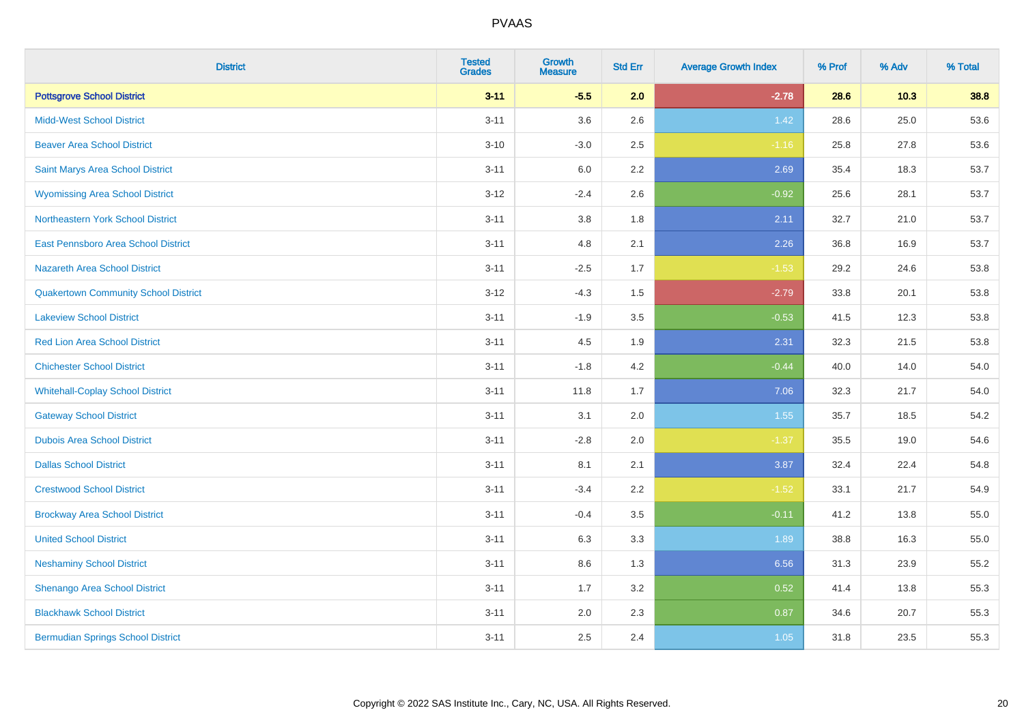| <b>District</b>                             | <b>Tested</b><br><b>Grades</b> | <b>Growth</b><br><b>Measure</b> | <b>Std Err</b> | <b>Average Growth Index</b> | % Prof | % Adv | % Total |
|---------------------------------------------|--------------------------------|---------------------------------|----------------|-----------------------------|--------|-------|---------|
| <b>Pottsgrove School District</b>           | $3 - 11$                       | $-5.5$                          | 2.0            | $-2.78$                     | 28.6   | 10.3  | 38.8    |
| <b>Midd-West School District</b>            | $3 - 11$                       | 3.6                             | 2.6            | 1.42                        | 28.6   | 25.0  | 53.6    |
| <b>Beaver Area School District</b>          | $3 - 10$                       | $-3.0$                          | 2.5            | $-1.16$                     | 25.8   | 27.8  | 53.6    |
| Saint Marys Area School District            | $3 - 11$                       | $6.0\,$                         | 2.2            | 2.69                        | 35.4   | 18.3  | 53.7    |
| <b>Wyomissing Area School District</b>      | $3 - 12$                       | $-2.4$                          | 2.6            | $-0.92$                     | 25.6   | 28.1  | 53.7    |
| Northeastern York School District           | $3 - 11$                       | $3.8\,$                         | 1.8            | 2.11                        | 32.7   | 21.0  | 53.7    |
| East Pennsboro Area School District         | $3 - 11$                       | 4.8                             | 2.1            | 2.26                        | 36.8   | 16.9  | 53.7    |
| <b>Nazareth Area School District</b>        | $3 - 11$                       | $-2.5$                          | 1.7            | $-1.53$                     | 29.2   | 24.6  | 53.8    |
| <b>Quakertown Community School District</b> | $3 - 12$                       | $-4.3$                          | 1.5            | $-2.79$                     | 33.8   | 20.1  | 53.8    |
| <b>Lakeview School District</b>             | $3 - 11$                       | $-1.9$                          | 3.5            | $-0.53$                     | 41.5   | 12.3  | 53.8    |
| <b>Red Lion Area School District</b>        | $3 - 11$                       | 4.5                             | 1.9            | 2.31                        | 32.3   | 21.5  | 53.8    |
| <b>Chichester School District</b>           | $3 - 11$                       | $-1.8$                          | 4.2            | $-0.44$                     | 40.0   | 14.0  | 54.0    |
| <b>Whitehall-Coplay School District</b>     | $3 - 11$                       | 11.8                            | 1.7            | 7.06                        | 32.3   | 21.7  | 54.0    |
| <b>Gateway School District</b>              | $3 - 11$                       | 3.1                             | 2.0            | 1.55                        | 35.7   | 18.5  | 54.2    |
| <b>Dubois Area School District</b>          | $3 - 11$                       | $-2.8$                          | 2.0            | $-1.37$                     | 35.5   | 19.0  | 54.6    |
| <b>Dallas School District</b>               | $3 - 11$                       | 8.1                             | 2.1            | 3.87                        | 32.4   | 22.4  | 54.8    |
| <b>Crestwood School District</b>            | $3 - 11$                       | $-3.4$                          | 2.2            | $-1.52$                     | 33.1   | 21.7  | 54.9    |
| <b>Brockway Area School District</b>        | $3 - 11$                       | $-0.4$                          | 3.5            | $-0.11$                     | 41.2   | 13.8  | 55.0    |
| <b>United School District</b>               | $3 - 11$                       | 6.3                             | 3.3            | 1.89                        | 38.8   | 16.3  | 55.0    |
| <b>Neshaminy School District</b>            | $3 - 11$                       | 8.6                             | 1.3            | 6.56                        | 31.3   | 23.9  | 55.2    |
| Shenango Area School District               | $3 - 11$                       | 1.7                             | 3.2            | 0.52                        | 41.4   | 13.8  | 55.3    |
| <b>Blackhawk School District</b>            | $3 - 11$                       | 2.0                             | 2.3            | 0.87                        | 34.6   | 20.7  | 55.3    |
| <b>Bermudian Springs School District</b>    | $3 - 11$                       | 2.5                             | 2.4            | 1.05                        | 31.8   | 23.5  | 55.3    |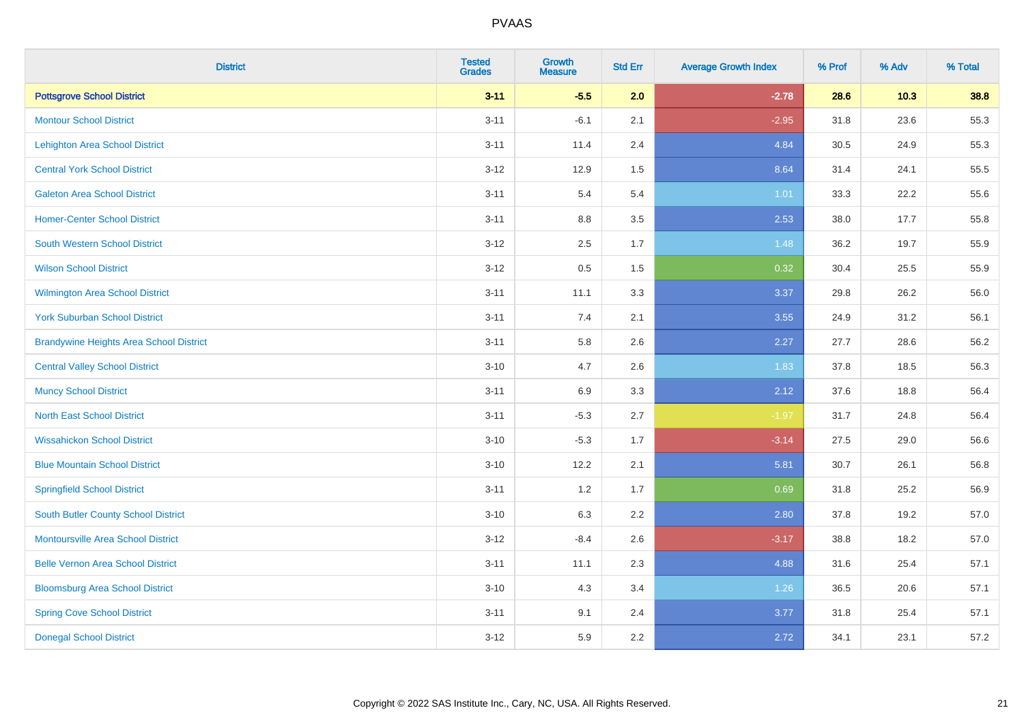| <b>District</b>                                | <b>Tested</b><br><b>Grades</b> | <b>Growth</b><br><b>Measure</b> | <b>Std Err</b> | <b>Average Growth Index</b> | % Prof | % Adv | % Total |
|------------------------------------------------|--------------------------------|---------------------------------|----------------|-----------------------------|--------|-------|---------|
| <b>Pottsgrove School District</b>              | $3 - 11$                       | $-5.5$                          | 2.0            | $-2.78$                     | 28.6   | 10.3  | 38.8    |
| <b>Montour School District</b>                 | $3 - 11$                       | $-6.1$                          | 2.1            | $-2.95$                     | 31.8   | 23.6  | 55.3    |
| <b>Lehighton Area School District</b>          | $3 - 11$                       | 11.4                            | 2.4            | 4.84                        | 30.5   | 24.9  | 55.3    |
| <b>Central York School District</b>            | $3 - 12$                       | 12.9                            | 1.5            | 8.64                        | 31.4   | 24.1  | 55.5    |
| <b>Galeton Area School District</b>            | $3 - 11$                       | 5.4                             | 5.4            | 1.01                        | 33.3   | 22.2  | 55.6    |
| <b>Homer-Center School District</b>            | $3 - 11$                       | 8.8                             | 3.5            | 2.53                        | 38.0   | 17.7  | 55.8    |
| South Western School District                  | $3 - 12$                       | 2.5                             | 1.7            | 1.48                        | 36.2   | 19.7  | 55.9    |
| <b>Wilson School District</b>                  | $3 - 12$                       | $0.5\,$                         | 1.5            | 0.32                        | 30.4   | 25.5  | 55.9    |
| <b>Wilmington Area School District</b>         | $3 - 11$                       | 11.1                            | 3.3            | 3.37                        | 29.8   | 26.2  | 56.0    |
| <b>York Suburban School District</b>           | $3 - 11$                       | 7.4                             | 2.1            | 3.55                        | 24.9   | 31.2  | 56.1    |
| <b>Brandywine Heights Area School District</b> | $3 - 11$                       | 5.8                             | 2.6            | 2.27                        | 27.7   | 28.6  | 56.2    |
| <b>Central Valley School District</b>          | $3 - 10$                       | 4.7                             | 2.6            | 1.83                        | 37.8   | 18.5  | 56.3    |
| <b>Muncy School District</b>                   | $3 - 11$                       | 6.9                             | 3.3            | 2.12                        | 37.6   | 18.8  | 56.4    |
| <b>North East School District</b>              | $3 - 11$                       | $-5.3$                          | 2.7            | $-1.97$                     | 31.7   | 24.8  | 56.4    |
| <b>Wissahickon School District</b>             | $3 - 10$                       | $-5.3$                          | 1.7            | $-3.14$                     | 27.5   | 29.0  | 56.6    |
| <b>Blue Mountain School District</b>           | $3 - 10$                       | 12.2                            | 2.1            | 5.81                        | 30.7   | 26.1  | 56.8    |
| <b>Springfield School District</b>             | $3 - 11$                       | 1.2                             | 1.7            | 0.69                        | 31.8   | 25.2  | 56.9    |
| <b>South Butler County School District</b>     | $3 - 10$                       | 6.3                             | 2.2            | 2.80                        | 37.8   | 19.2  | 57.0    |
| <b>Montoursville Area School District</b>      | $3 - 12$                       | $-8.4$                          | 2.6            | $-3.17$                     | 38.8   | 18.2  | 57.0    |
| <b>Belle Vernon Area School District</b>       | $3 - 11$                       | 11.1                            | 2.3            | 4.88                        | 31.6   | 25.4  | 57.1    |
| <b>Bloomsburg Area School District</b>         | $3 - 10$                       | 4.3                             | 3.4            | 1.26                        | 36.5   | 20.6  | 57.1    |
| <b>Spring Cove School District</b>             | $3 - 11$                       | 9.1                             | 2.4            | 3.77                        | 31.8   | 25.4  | 57.1    |
| <b>Donegal School District</b>                 | $3-12$                         | 5.9                             | 2.2            | 2.72                        | 34.1   | 23.1  | 57.2    |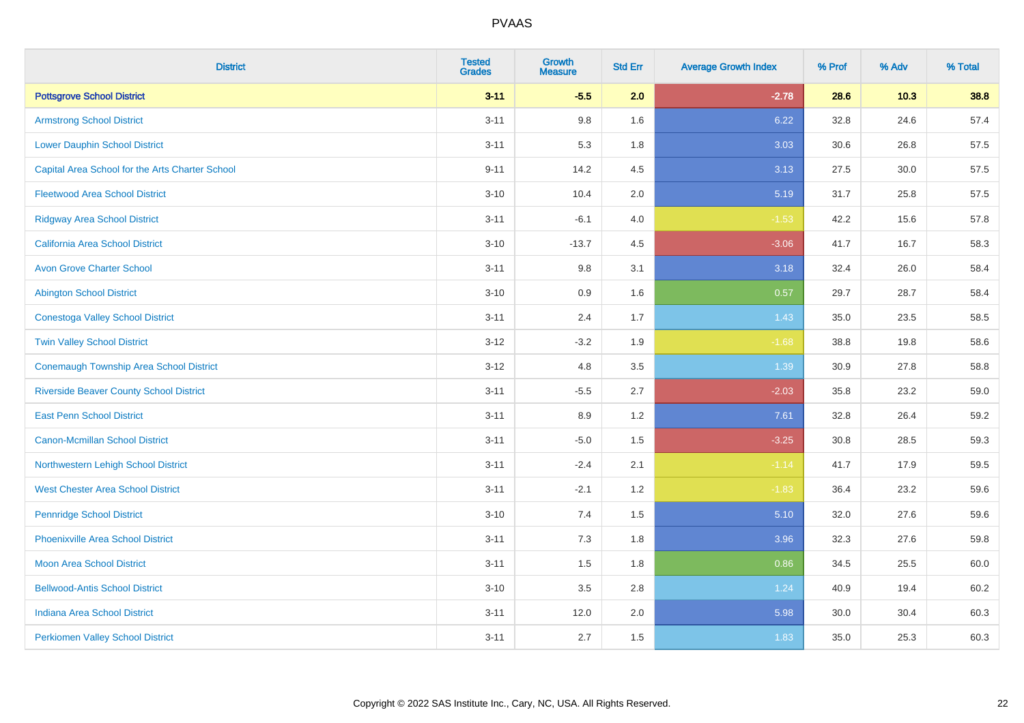| <b>District</b>                                 | <b>Tested</b><br><b>Grades</b> | <b>Growth</b><br><b>Measure</b> | <b>Std Err</b> | <b>Average Growth Index</b> | % Prof | % Adv | % Total |
|-------------------------------------------------|--------------------------------|---------------------------------|----------------|-----------------------------|--------|-------|---------|
| <b>Pottsgrove School District</b>               | $3 - 11$                       | $-5.5$                          | 2.0            | $-2.78$                     | 28.6   | 10.3  | 38.8    |
| <b>Armstrong School District</b>                | $3 - 11$                       | 9.8                             | 1.6            | 6.22                        | 32.8   | 24.6  | 57.4    |
| <b>Lower Dauphin School District</b>            | $3 - 11$                       | 5.3                             | 1.8            | 3.03                        | 30.6   | 26.8  | 57.5    |
| Capital Area School for the Arts Charter School | $9 - 11$                       | 14.2                            | 4.5            | 3.13                        | 27.5   | 30.0  | 57.5    |
| <b>Fleetwood Area School District</b>           | $3 - 10$                       | 10.4                            | 2.0            | 5.19                        | 31.7   | 25.8  | 57.5    |
| <b>Ridgway Area School District</b>             | $3 - 11$                       | $-6.1$                          | 4.0            | $-1.53$                     | 42.2   | 15.6  | 57.8    |
| California Area School District                 | $3 - 10$                       | $-13.7$                         | 4.5            | $-3.06$                     | 41.7   | 16.7  | 58.3    |
| <b>Avon Grove Charter School</b>                | $3 - 11$                       | $9.8\,$                         | 3.1            | 3.18                        | 32.4   | 26.0  | 58.4    |
| <b>Abington School District</b>                 | $3 - 10$                       | 0.9                             | 1.6            | 0.57                        | 29.7   | 28.7  | 58.4    |
| <b>Conestoga Valley School District</b>         | $3 - 11$                       | 2.4                             | 1.7            | 1.43                        | 35.0   | 23.5  | 58.5    |
| <b>Twin Valley School District</b>              | $3 - 12$                       | $-3.2$                          | 1.9            | $-1.68$                     | 38.8   | 19.8  | 58.6    |
| <b>Conemaugh Township Area School District</b>  | $3 - 12$                       | 4.8                             | 3.5            | 1.39                        | 30.9   | 27.8  | 58.8    |
| <b>Riverside Beaver County School District</b>  | $3 - 11$                       | $-5.5$                          | 2.7            | $-2.03$                     | 35.8   | 23.2  | 59.0    |
| <b>East Penn School District</b>                | $3 - 11$                       | 8.9                             | 1.2            | 7.61                        | 32.8   | 26.4  | 59.2    |
| <b>Canon-Mcmillan School District</b>           | $3 - 11$                       | $-5.0$                          | 1.5            | $-3.25$                     | 30.8   | 28.5  | 59.3    |
| Northwestern Lehigh School District             | $3 - 11$                       | $-2.4$                          | 2.1            | $-1.14$                     | 41.7   | 17.9  | 59.5    |
| <b>West Chester Area School District</b>        | $3 - 11$                       | $-2.1$                          | 1.2            | $-1.83$                     | 36.4   | 23.2  | 59.6    |
| <b>Pennridge School District</b>                | $3 - 10$                       | 7.4                             | 1.5            | 5.10                        | 32.0   | 27.6  | 59.6    |
| <b>Phoenixville Area School District</b>        | $3 - 11$                       | 7.3                             | 1.8            | 3.96                        | 32.3   | 27.6  | 59.8    |
| <b>Moon Area School District</b>                | $3 - 11$                       | 1.5                             | 1.8            | 0.86                        | 34.5   | 25.5  | 60.0    |
| <b>Bellwood-Antis School District</b>           | $3 - 10$                       | $3.5\,$                         | 2.8            | 1.24                        | 40.9   | 19.4  | 60.2    |
| <b>Indiana Area School District</b>             | $3 - 11$                       | 12.0                            | 2.0            | 5.98                        | 30.0   | 30.4  | 60.3    |
| <b>Perkiomen Valley School District</b>         | $3 - 11$                       | 2.7                             | 1.5            | 1.83                        | 35.0   | 25.3  | 60.3    |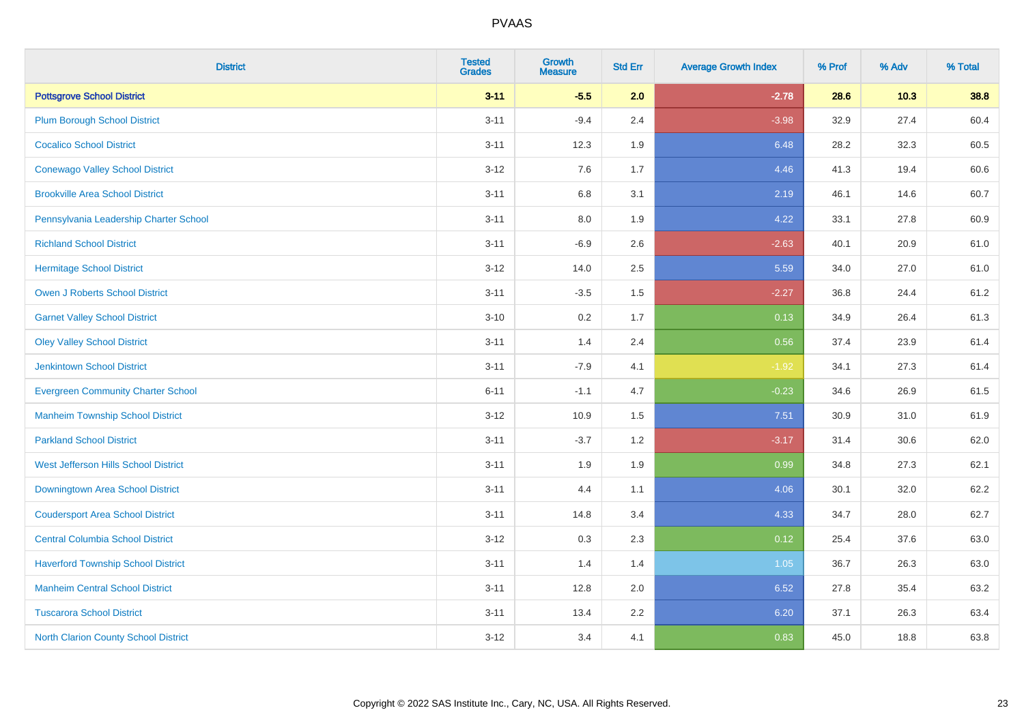| <b>District</b>                             | <b>Tested</b><br><b>Grades</b> | <b>Growth</b><br><b>Measure</b> | <b>Std Err</b> | <b>Average Growth Index</b> | % Prof | % Adv | % Total |
|---------------------------------------------|--------------------------------|---------------------------------|----------------|-----------------------------|--------|-------|---------|
| <b>Pottsgrove School District</b>           | $3 - 11$                       | $-5.5$                          | 2.0            | $-2.78$                     | 28.6   | 10.3  | 38.8    |
| <b>Plum Borough School District</b>         | $3 - 11$                       | $-9.4$                          | 2.4            | $-3.98$                     | 32.9   | 27.4  | 60.4    |
| <b>Cocalico School District</b>             | $3 - 11$                       | 12.3                            | 1.9            | 6.48                        | 28.2   | 32.3  | 60.5    |
| <b>Conewago Valley School District</b>      | $3 - 12$                       | 7.6                             | 1.7            | 4.46                        | 41.3   | 19.4  | 60.6    |
| <b>Brookville Area School District</b>      | $3 - 11$                       | 6.8                             | 3.1            | 2.19                        | 46.1   | 14.6  | 60.7    |
| Pennsylvania Leadership Charter School      | $3 - 11$                       | 8.0                             | 1.9            | 4.22                        | 33.1   | 27.8  | 60.9    |
| <b>Richland School District</b>             | $3 - 11$                       | $-6.9$                          | 2.6            | $-2.63$                     | 40.1   | 20.9  | 61.0    |
| <b>Hermitage School District</b>            | $3 - 12$                       | 14.0                            | 2.5            | 5.59                        | 34.0   | 27.0  | 61.0    |
| <b>Owen J Roberts School District</b>       | $3 - 11$                       | $-3.5$                          | 1.5            | $-2.27$                     | 36.8   | 24.4  | 61.2    |
| <b>Garnet Valley School District</b>        | $3 - 10$                       | 0.2                             | 1.7            | 0.13                        | 34.9   | 26.4  | 61.3    |
| <b>Oley Valley School District</b>          | $3 - 11$                       | 1.4                             | 2.4            | 0.56                        | 37.4   | 23.9  | 61.4    |
| <b>Jenkintown School District</b>           | $3 - 11$                       | $-7.9$                          | 4.1            | $-1.92$                     | 34.1   | 27.3  | 61.4    |
| <b>Evergreen Community Charter School</b>   | $6 - 11$                       | $-1.1$                          | 4.7            | $-0.23$                     | 34.6   | 26.9  | 61.5    |
| <b>Manheim Township School District</b>     | $3 - 12$                       | 10.9                            | 1.5            | 7.51                        | 30.9   | 31.0  | 61.9    |
| <b>Parkland School District</b>             | $3 - 11$                       | $-3.7$                          | 1.2            | $-3.17$                     | 31.4   | 30.6  | 62.0    |
| West Jefferson Hills School District        | $3 - 11$                       | 1.9                             | 1.9            | 0.99                        | 34.8   | 27.3  | 62.1    |
| Downingtown Area School District            | $3 - 11$                       | 4.4                             | 1.1            | 4.06                        | 30.1   | 32.0  | 62.2    |
| <b>Coudersport Area School District</b>     | $3 - 11$                       | 14.8                            | 3.4            | 4.33                        | 34.7   | 28.0  | 62.7    |
| <b>Central Columbia School District</b>     | $3 - 12$                       | 0.3                             | 2.3            | 0.12                        | 25.4   | 37.6  | 63.0    |
| <b>Haverford Township School District</b>   | $3 - 11$                       | 1.4                             | 1.4            | 1.05                        | 36.7   | 26.3  | 63.0    |
| <b>Manheim Central School District</b>      | $3 - 11$                       | 12.8                            | 2.0            | 6.52                        | 27.8   | 35.4  | 63.2    |
| <b>Tuscarora School District</b>            | $3 - 11$                       | 13.4                            | 2.2            | 6.20                        | 37.1   | 26.3  | 63.4    |
| <b>North Clarion County School District</b> | $3 - 12$                       | 3.4                             | 4.1            | 0.83                        | 45.0   | 18.8  | 63.8    |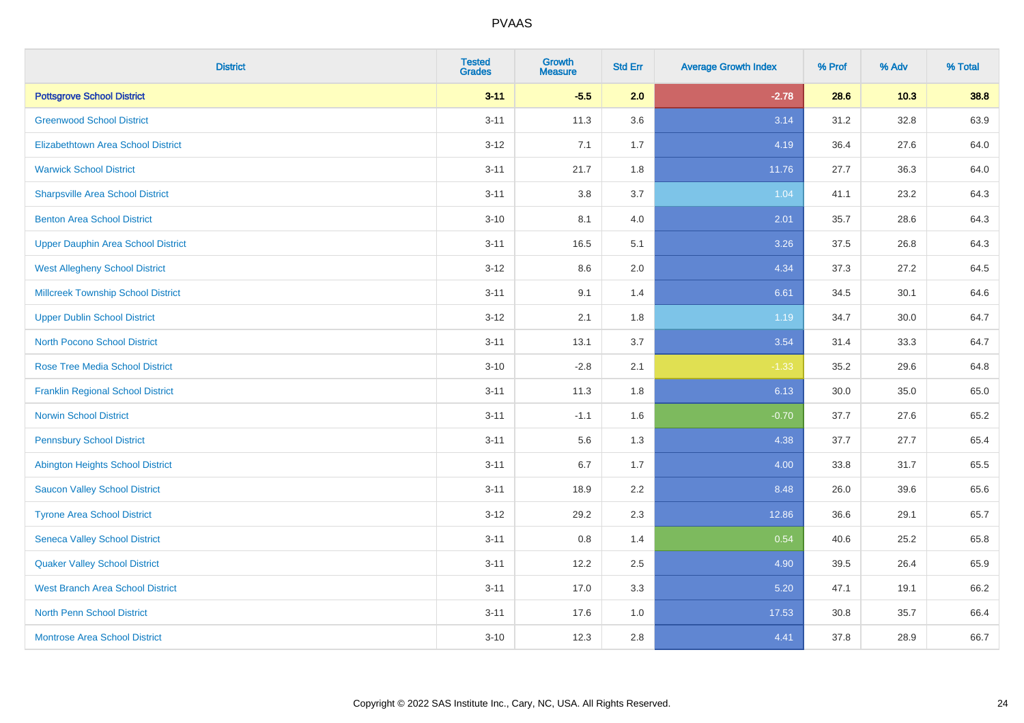| <b>District</b>                           | <b>Tested</b><br><b>Grades</b> | <b>Growth</b><br><b>Measure</b> | <b>Std Err</b> | <b>Average Growth Index</b> | % Prof | % Adv    | % Total |
|-------------------------------------------|--------------------------------|---------------------------------|----------------|-----------------------------|--------|----------|---------|
| <b>Pottsgrove School District</b>         | $3 - 11$                       | $-5.5$                          | 2.0            | $-2.78$                     | 28.6   | 10.3     | 38.8    |
| <b>Greenwood School District</b>          | $3 - 11$                       | 11.3                            | 3.6            | 3.14                        | 31.2   | 32.8     | 63.9    |
| <b>Elizabethtown Area School District</b> | $3 - 12$                       | 7.1                             | 1.7            | 4.19                        | 36.4   | 27.6     | 64.0    |
| <b>Warwick School District</b>            | $3 - 11$                       | 21.7                            | 1.8            | 11.76                       | 27.7   | 36.3     | 64.0    |
| <b>Sharpsville Area School District</b>   | $3 - 11$                       | 3.8                             | 3.7            | 1.04                        | 41.1   | 23.2     | 64.3    |
| <b>Benton Area School District</b>        | $3 - 10$                       | 8.1                             | 4.0            | 2.01                        | 35.7   | 28.6     | 64.3    |
| <b>Upper Dauphin Area School District</b> | $3 - 11$                       | 16.5                            | 5.1            | 3.26                        | 37.5   | 26.8     | 64.3    |
| <b>West Allegheny School District</b>     | $3 - 12$                       | 8.6                             | 2.0            | 4.34                        | 37.3   | 27.2     | 64.5    |
| <b>Millcreek Township School District</b> | $3 - 11$                       | 9.1                             | 1.4            | 6.61                        | 34.5   | 30.1     | 64.6    |
| <b>Upper Dublin School District</b>       | $3 - 12$                       | 2.1                             | 1.8            | 1.19                        | 34.7   | $30.0\,$ | 64.7    |
| <b>North Pocono School District</b>       | $3 - 11$                       | 13.1                            | 3.7            | 3.54                        | 31.4   | 33.3     | 64.7    |
| <b>Rose Tree Media School District</b>    | $3 - 10$                       | $-2.8$                          | 2.1            | $-1.33$                     | 35.2   | 29.6     | 64.8    |
| <b>Franklin Regional School District</b>  | $3 - 11$                       | 11.3                            | 1.8            | 6.13                        | 30.0   | 35.0     | 65.0    |
| <b>Norwin School District</b>             | $3 - 11$                       | $-1.1$                          | 1.6            | $-0.70$                     | 37.7   | 27.6     | 65.2    |
| <b>Pennsbury School District</b>          | $3 - 11$                       | 5.6                             | 1.3            | 4.38                        | 37.7   | 27.7     | 65.4    |
| <b>Abington Heights School District</b>   | $3 - 11$                       | 6.7                             | 1.7            | 4.00                        | 33.8   | 31.7     | 65.5    |
| <b>Saucon Valley School District</b>      | $3 - 11$                       | 18.9                            | 2.2            | 8.48                        | 26.0   | 39.6     | 65.6    |
| <b>Tyrone Area School District</b>        | $3 - 12$                       | 29.2                            | 2.3            | 12.86                       | 36.6   | 29.1     | 65.7    |
| <b>Seneca Valley School District</b>      | $3 - 11$                       | 0.8                             | 1.4            | 0.54                        | 40.6   | 25.2     | 65.8    |
| <b>Quaker Valley School District</b>      | $3 - 11$                       | 12.2                            | 2.5            | 4.90                        | 39.5   | 26.4     | 65.9    |
| <b>West Branch Area School District</b>   | $3 - 11$                       | 17.0                            | 3.3            | 5.20                        | 47.1   | 19.1     | 66.2    |
| North Penn School District                | $3 - 11$                       | 17.6                            | 1.0            | 17.53                       | 30.8   | 35.7     | 66.4    |
| <b>Montrose Area School District</b>      | $3 - 10$                       | 12.3                            | 2.8            | 4.41                        | 37.8   | 28.9     | 66.7    |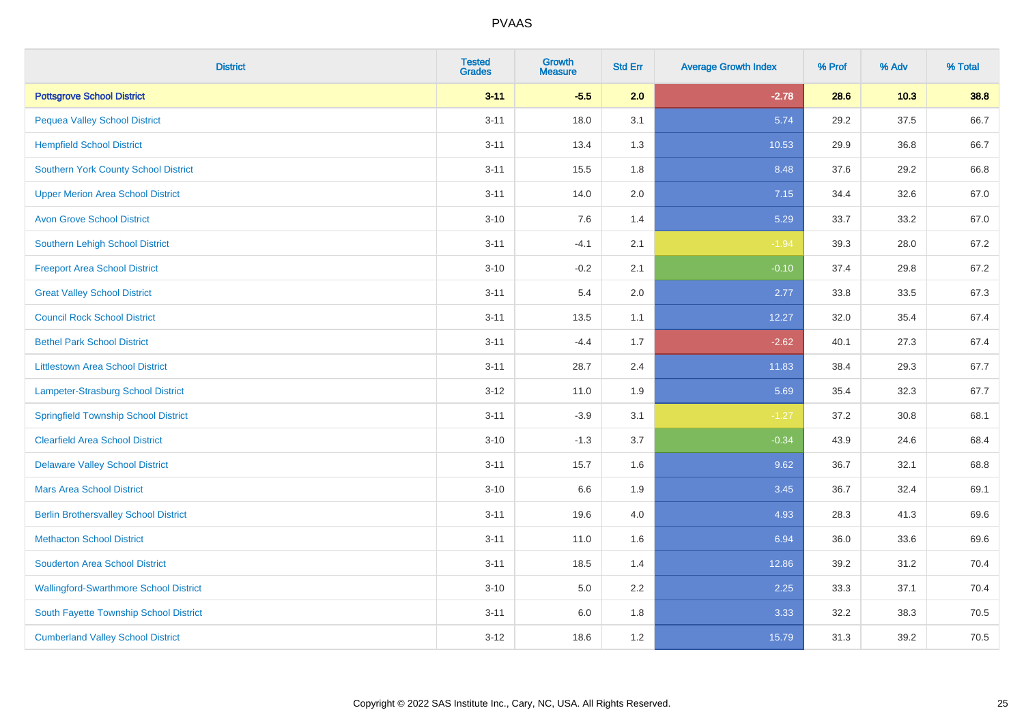| <b>District</b>                               | <b>Tested</b><br><b>Grades</b> | Growth<br><b>Measure</b> | <b>Std Err</b> | <b>Average Growth Index</b> | % Prof | % Adv  | % Total |
|-----------------------------------------------|--------------------------------|--------------------------|----------------|-----------------------------|--------|--------|---------|
| <b>Pottsgrove School District</b>             | $3 - 11$                       | $-5.5$                   | 2.0            | $-2.78$                     | 28.6   | $10.3$ | 38.8    |
| <b>Pequea Valley School District</b>          | $3 - 11$                       | 18.0                     | 3.1            | 5.74                        | 29.2   | 37.5   | 66.7    |
| <b>Hempfield School District</b>              | $3 - 11$                       | 13.4                     | 1.3            | 10.53                       | 29.9   | 36.8   | 66.7    |
| <b>Southern York County School District</b>   | $3 - 11$                       | 15.5                     | 1.8            | 8.48                        | 37.6   | 29.2   | 66.8    |
| <b>Upper Merion Area School District</b>      | $3 - 11$                       | 14.0                     | 2.0            | 7.15                        | 34.4   | 32.6   | 67.0    |
| <b>Avon Grove School District</b>             | $3 - 10$                       | 7.6                      | 1.4            | 5.29                        | 33.7   | 33.2   | 67.0    |
| <b>Southern Lehigh School District</b>        | $3 - 11$                       | $-4.1$                   | 2.1            | $-1.94$                     | 39.3   | 28.0   | 67.2    |
| <b>Freeport Area School District</b>          | $3 - 10$                       | $-0.2$                   | 2.1            | $-0.10$                     | 37.4   | 29.8   | 67.2    |
| <b>Great Valley School District</b>           | $3 - 11$                       | 5.4                      | 2.0            | 2.77                        | 33.8   | 33.5   | 67.3    |
| <b>Council Rock School District</b>           | $3 - 11$                       | 13.5                     | 1.1            | 12.27                       | 32.0   | 35.4   | 67.4    |
| <b>Bethel Park School District</b>            | $3 - 11$                       | $-4.4$                   | 1.7            | $-2.62$                     | 40.1   | 27.3   | 67.4    |
| <b>Littlestown Area School District</b>       | $3 - 11$                       | 28.7                     | 2.4            | 11.83                       | 38.4   | 29.3   | 67.7    |
| Lampeter-Strasburg School District            | $3 - 12$                       | 11.0                     | 1.9            | 5.69                        | 35.4   | 32.3   | 67.7    |
| <b>Springfield Township School District</b>   | $3 - 11$                       | $-3.9$                   | 3.1            | $-1.27$                     | 37.2   | 30.8   | 68.1    |
| <b>Clearfield Area School District</b>        | $3 - 10$                       | $-1.3$                   | 3.7            | $-0.34$                     | 43.9   | 24.6   | 68.4    |
| <b>Delaware Valley School District</b>        | $3 - 11$                       | 15.7                     | 1.6            | 9.62                        | 36.7   | 32.1   | 68.8    |
| <b>Mars Area School District</b>              | $3 - 10$                       | 6.6                      | 1.9            | 3.45                        | 36.7   | 32.4   | 69.1    |
| <b>Berlin Brothersvalley School District</b>  | $3 - 11$                       | 19.6                     | 4.0            | 4.93                        | 28.3   | 41.3   | 69.6    |
| <b>Methacton School District</b>              | $3 - 11$                       | 11.0                     | 1.6            | 6.94                        | 36.0   | 33.6   | 69.6    |
| <b>Souderton Area School District</b>         | $3 - 11$                       | 18.5                     | 1.4            | 12.86                       | 39.2   | 31.2   | 70.4    |
| <b>Wallingford-Swarthmore School District</b> | $3 - 10$                       | 5.0                      | 2.2            | 2.25                        | 33.3   | 37.1   | 70.4    |
| South Fayette Township School District        | $3 - 11$                       | 6.0                      | 1.8            | 3.33                        | 32.2   | 38.3   | 70.5    |
| <b>Cumberland Valley School District</b>      | $3-12$                         | 18.6                     | 1.2            | 15.79                       | 31.3   | 39.2   | 70.5    |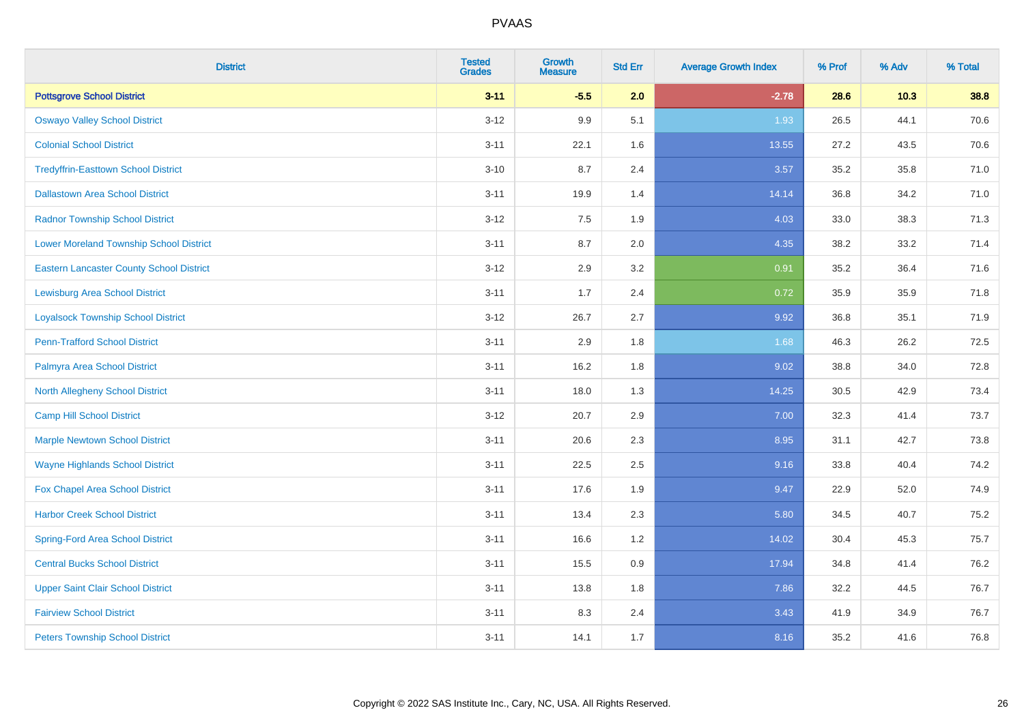| <b>District</b>                                 | <b>Tested</b><br><b>Grades</b> | <b>Growth</b><br><b>Measure</b> | <b>Std Err</b> | <b>Average Growth Index</b> | % Prof | % Adv  | % Total |
|-------------------------------------------------|--------------------------------|---------------------------------|----------------|-----------------------------|--------|--------|---------|
| <b>Pottsgrove School District</b>               | $3 - 11$                       | $-5.5$                          | 2.0            | $-2.78$                     | 28.6   | $10.3$ | 38.8    |
| <b>Oswayo Valley School District</b>            | $3 - 12$                       | 9.9                             | 5.1            | 1.93                        | 26.5   | 44.1   | 70.6    |
| <b>Colonial School District</b>                 | $3 - 11$                       | 22.1                            | 1.6            | 13.55                       | 27.2   | 43.5   | 70.6    |
| <b>Tredyffrin-Easttown School District</b>      | $3 - 10$                       | 8.7                             | 2.4            | 3.57                        | 35.2   | 35.8   | 71.0    |
| <b>Dallastown Area School District</b>          | $3 - 11$                       | 19.9                            | 1.4            | 14.14                       | 36.8   | 34.2   | 71.0    |
| <b>Radnor Township School District</b>          | $3 - 12$                       | 7.5                             | 1.9            | 4.03                        | 33.0   | 38.3   | 71.3    |
| <b>Lower Moreland Township School District</b>  | $3 - 11$                       | 8.7                             | 2.0            | 4.35                        | 38.2   | 33.2   | 71.4    |
| <b>Eastern Lancaster County School District</b> | $3 - 12$                       | 2.9                             | 3.2            | 0.91                        | 35.2   | 36.4   | 71.6    |
| <b>Lewisburg Area School District</b>           | $3 - 11$                       | 1.7                             | 2.4            | 0.72                        | 35.9   | 35.9   | 71.8    |
| <b>Loyalsock Township School District</b>       | $3 - 12$                       | 26.7                            | 2.7            | 9.92                        | 36.8   | 35.1   | 71.9    |
| <b>Penn-Trafford School District</b>            | $3 - 11$                       | 2.9                             | 1.8            | 1.68                        | 46.3   | 26.2   | 72.5    |
| Palmyra Area School District                    | $3 - 11$                       | 16.2                            | 1.8            | 9.02                        | 38.8   | 34.0   | 72.8    |
| North Allegheny School District                 | $3 - 11$                       | 18.0                            | 1.3            | 14.25                       | 30.5   | 42.9   | 73.4    |
| <b>Camp Hill School District</b>                | $3 - 12$                       | 20.7                            | 2.9            | 7.00                        | 32.3   | 41.4   | 73.7    |
| <b>Marple Newtown School District</b>           | $3 - 11$                       | 20.6                            | 2.3            | 8.95                        | 31.1   | 42.7   | 73.8    |
| <b>Wayne Highlands School District</b>          | $3 - 11$                       | 22.5                            | 2.5            | 9.16                        | 33.8   | 40.4   | 74.2    |
| Fox Chapel Area School District                 | $3 - 11$                       | 17.6                            | 1.9            | 9.47                        | 22.9   | 52.0   | 74.9    |
| <b>Harbor Creek School District</b>             | $3 - 11$                       | 13.4                            | 2.3            | 5.80                        | 34.5   | 40.7   | 75.2    |
| <b>Spring-Ford Area School District</b>         | $3 - 11$                       | 16.6                            | 1.2            | 14.02                       | 30.4   | 45.3   | 75.7    |
| <b>Central Bucks School District</b>            | $3 - 11$                       | 15.5                            | 0.9            | 17.94                       | 34.8   | 41.4   | 76.2    |
| <b>Upper Saint Clair School District</b>        | $3 - 11$                       | 13.8                            | 1.8            | 7.86                        | 32.2   | 44.5   | 76.7    |
| <b>Fairview School District</b>                 | $3 - 11$                       | 8.3                             | 2.4            | 3.43                        | 41.9   | 34.9   | 76.7    |
| <b>Peters Township School District</b>          | $3 - 11$                       | 14.1                            | 1.7            | 8.16                        | 35.2   | 41.6   | 76.8    |